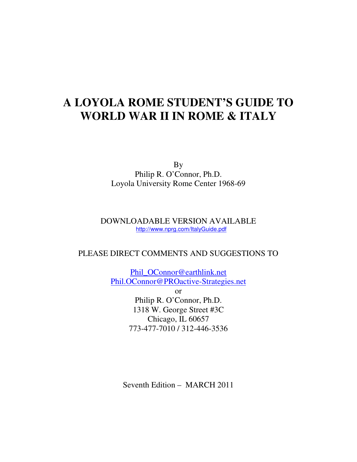**By** Philip R. O'Connor, Ph.D. Loyola University Rome Center 1968-69

### DOWNLOADABLE VERSION AVAILABLE http://www.nprg.com/ItalyGuide.pdf

# PLEASE DIRECT COMMENTS AND SUGGESTIONS TO

Phil\_OConnor@earthlink.net Phil.OConnor@PROactive-Strategies.net

> or Philip R. O'Connor, Ph.D. 1318 W. George Street #3C Chicago, IL 60657 773-477-7010 / 312-446-3536

Seventh Edition – MARCH 2011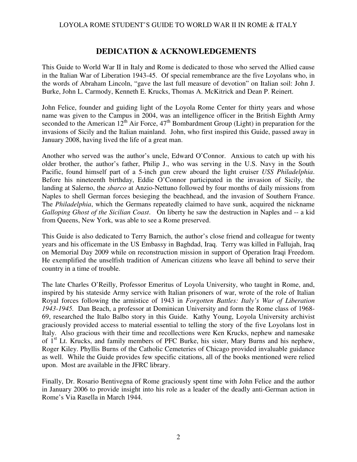# **DEDICATION & ACKNOWLEDGEMENTS**

This Guide to World War II in Italy and Rome is dedicated to those who served the Allied cause in the Italian War of Liberation 1943-45. Of special remembrance are the five Loyolans who, in the words of Abraham Lincoln, "gave the last full measure of devotion" on Italian soil: John J. Burke, John L. Carmody, Kenneth E. Krucks, Thomas A. McKitrick and Dean P. Reinert.

John Felice, founder and guiding light of the Loyola Rome Center for thirty years and whose name was given to the Campus in 2004, was an intelligence officer in the British Eighth Army seconded to the American  $12^{th}$  Air Force,  $47^{th}$  Bombardment Group (Light) in preparation for the invasions of Sicily and the Italian mainland. John, who first inspired this Guide, passed away in January 2008, having lived the life of a great man.

Another who served was the author's uncle, Edward O'Connor. Anxious to catch up with his older brother, the author's father, Philip J., who was serving in the U.S. Navy in the South Pacific, found himself part of a 5-inch gun crew aboard the light cruiser *USS Philadelphia*. Before his nineteenth birthday, Eddie O'Connor participated in the invasion of Sicily, the landing at Salerno, the *sbarco* at Anzio-Nettuno followed by four months of daily missions from Naples to shell German forces besieging the beachhead, and the invasion of Southern France. The *Philadelphia*, which the Germans repeatedly claimed to have sunk, acquired the nickname *Galloping Ghost of the Sicilian Coast*. On liberty he saw the destruction in Naples and -- a kid from Queens, New York, was able to see a Rome preserved.

This Guide is also dedicated to Terry Barnich, the author's close friend and colleague for twenty years and his officemate in the US Embassy in Baghdad, Iraq. Terry was killed in Fallujah, Iraq on Memorial Day 2009 while on reconstruction mission in support of Operation Iraqi Freedom. He exemplified the unselfish tradition of American citizens who leave all behind to serve their country in a time of trouble.

The late Charles O'Reilly, Professor Emeritus of Loyola University, who taught in Rome, and, inspired by his stateside Army service with Italian prisoners of war, wrote of the role of Italian Royal forces following the armistice of 1943 in *Forgotten Battles: Italy's War of Liberation 1943-1945.* Dan Beach, a professor at Dominican University and form the Rome class of 1968- 69, researched the Italo Balbo story in this Guide. Kathy Young, Loyola University archivist graciously provided access to material essential to telling the story of the five Loyolans lost in Italy. Also gracious with their time and recollections were Ken Krucks, nephew and namesake of 1<sup>st</sup> Lt. Krucks, and family members of PFC Burke, his sister, Mary Burns and his nephew, Roger Kiley. Phyllis Burns of the Catholic Cemeteries of Chicago provided invaluable guidance as well. While the Guide provides few specific citations, all of the books mentioned were relied upon. Most are available in the JFRC library.

Finally, Dr. Rosario Bentivegna of Rome graciously spent time with John Felice and the author in January 2006 to provide insight into his role as a leader of the deadly anti-German action in Rome's Via Rasella in March 1944.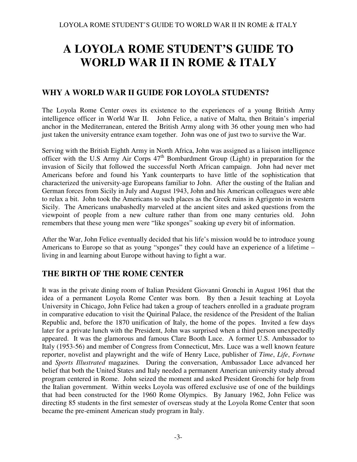# **WHY A WORLD WAR II GUIDE FOR LOYOLA STUDENTS?**

The Loyola Rome Center owes its existence to the experiences of a young British Army intelligence officer in World War II. John Felice, a native of Malta, then Britain's imperial anchor in the Mediterranean, entered the British Army along with 36 other young men who had just taken the university entrance exam together. John was one of just two to survive the War.

Serving with the British Eighth Army in North Africa, John was assigned as a liaison intelligence officer with the U.S Army Air Corps  $47<sup>th</sup>$  Bombardment Group (Light) in preparation for the invasion of Sicily that followed the successful North African campaign. John had never met Americans before and found his Yank counterparts to have little of the sophistication that characterized the university-age Europeans familiar to John. After the ousting of the Italian and German forces from Sicily in July and August 1943, John and his American colleagues were able to relax a bit. John took the Americans to such places as the Greek ruins in Agrigento in western Sicily. The Americans unabashedly marveled at the ancient sites and asked questions from the viewpoint of people from a new culture rather than from one many centuries old. John remembers that these young men were "like sponges" soaking up every bit of information.

After the War, John Felice eventually decided that his life's mission would be to introduce young Americans to Europe so that as young "sponges" they could have an experience of a lifetime – living in and learning about Europe without having to fight a war.

# **THE BIRTH OF THE ROME CENTER**

It was in the private dining room of Italian President Giovanni Gronchi in August 1961 that the idea of a permanent Loyola Rome Center was born. By then a Jesuit teaching at Loyola University in Chicago, John Felice had taken a group of teachers enrolled in a graduate program in comparative education to visit the Quirinal Palace, the residence of the President of the Italian Republic and, before the 1870 unification of Italy, the home of the popes. Invited a few days later for a private lunch with the President, John was surprised when a third person unexpectedly appeared. It was the glamorous and famous Clare Booth Luce. A former U.S. Ambassador to Italy (1953-56) and member of Congress from Connecticut, Mrs. Luce was a well known feature reporter, novelist and playwright and the wife of Henry Luce, publisher of *Time*, *Life*, *Fortune*  and *Sports Illustrated* magazines. During the conversation, Ambassador Luce advanced her belief that both the United States and Italy needed a permanent American university study abroad program centered in Rome. John seized the moment and asked President Gronchi for help from the Italian government. Within weeks Loyola was offered exclusive use of one of the buildings that had been constructed for the 1960 Rome Olympics. By January 1962, John Felice was directing 85 students in the first semester of overseas study at the Loyola Rome Center that soon became the pre-eminent American study program in Italy.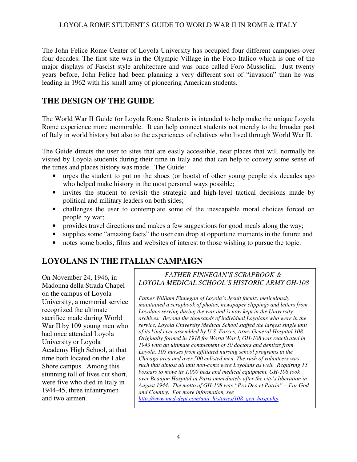The John Felice Rome Center of Loyola University has occupied four different campuses over four decades. The first site was in the Olympic Village in the Foro Italico which is one of the major displays of Fascist style architecture and was once called Foro Mussolini. Just twenty years before, John Felice had been planning a very different sort of "invasion" than he was leading in 1962 with his small army of pioneering American students.

# **THE DESIGN OF THE GUIDE**

The World War II Guide for Loyola Rome Students is intended to help make the unique Loyola Rome experience more memorable. It can help connect students not merely to the broader past of Italy in world history but also to the experiences of relatives who lived through World War II.

The Guide directs the user to sites that are easily accessible, near places that will normally be visited by Loyola students during their time in Italy and that can help to convey some sense of the times and places history was made. The Guide:

- urges the student to put on the shoes (or boots) of other young people six decades ago who helped make history in the most personal ways possible;
- invites the student to revisit the strategic and high-level tactical decisions made by political and military leaders on both sides;
- challenges the user to contemplate some of the inescapable moral choices forced on people by war;
- provides travel directions and makes a few suggestions for good meals along the way;
- supplies some "amazing facts" the user can drop at opportune moments in the future; and
- notes some books, films and websites of interest to those wishing to pursue the topic.

# **LOYOLANS IN THE ITALIAN CAMPAIGN**

On November 24, 1946, in Madonna della Strada Chapel on the campus of Loyola University, a memorial service recognized the ultimate sacrifice made during World War II by 109 young men who had once attended Loyola University or Loyola Academy High School, at that time both located on the Lake Shore campus. Among this stunning toll of lives cut short, were five who died in Italy in 1944-45, three infantrymen and two airmen.

### *FATHER FINNEGAN'S SCRAPBOOK & LOYOLA MEDICAL SCHOOL'S HISTORIC ARMY GH-108*

*Father William Finnegan of Loyola's Jesuit faculty meticulously maintained a scrapbook of photos, newspaper clippings and letters from Loyolans serving during the war and is now kept in the University archives. Beyond the thousands of individual Loyolans who were in the service, Loyola University Medical School staffed the largest single unit of its kind ever assembled by U.S. Forces, Army General Hospital 108. Originally formed in 1918 for World War I, GH-108 was reactivated in 1943 with an ultimate complement of 50 doctors and dentists from Loyola, 105 nurses from affiliated nursing school programs in the Chicago area and over 500 enlisted men. The rush of volunteers was such that almost all unit non-coms were Loyolans as well. Requiring 15 boxcars to move its 1,000 beds and medical equipment, GH-108 took over Beaujon Hospital in Paris immediately after the city's liberation in August 1944. The motto of GH-108 was "Pro Deo et Patria" – For God and Country. For more information, see http://www.med-dept.com/unit\_histories/108\_gen\_hosp.php*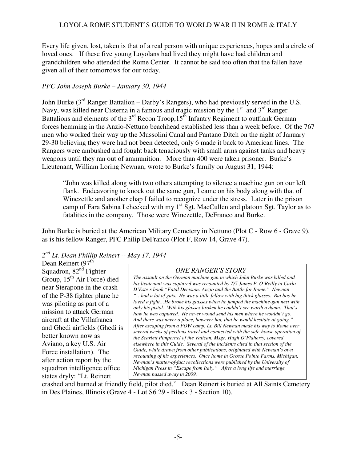Every life given, lost, taken is that of a real person with unique experiences, hopes and a circle of loved ones. If these five young Loyolans had lived they might have had children and grandchildren who attended the Rome Center. It cannot be said too often that the fallen have given all of their tomorrows for our today.

#### *PFC John Joseph Burke – January 30, 1944*

John Burke ( $3<sup>rd</sup>$  Ranger Battalion – Darby's Rangers), who had previously served in the U.S. Navy, was killed near Cisterna in a famous and tragic mission by the  $1<sup>st</sup>$  and  $3<sup>rd</sup>$  Ranger Battalions and elements of the  $3<sup>rd</sup>$  Recon Troop,  $15<sup>th</sup>$  Infantry Regiment to outflank German forces hemming in the Anzio-Nettuno beachhead established less than a week before. Of the 767 men who worked their way up the Mussolini Canal and Pantano Ditch on the night of January 29-30 believing they were had not been detected, only 6 made it back to American lines. The Rangers were ambushed and fought back tenaciously with small arms against tanks and heavy weapons until they ran out of ammunition. More than 400 were taken prisoner. Burke's Lieutenant, William Loring Newnan, wrote to Burke's family on August 31, 1944:

"John was killed along with two others attempting to silence a machine gun on our left flank. Endeavoring to knock out the same gun, I came on his body along with that of Winezettle and another chap I failed to recognize under the stress. Later in the prison camp of Fara Sabina I checked with my  $1<sup>st</sup>$  Sgt. MacCullen and platoon Sgt. Taylor as to fatalities in the company. Those were Winezettle, DeFranco and Burke.

John Burke is buried at the American Military Cemetery in Nettuno (Plot C - Row 6 - Grave 9), as is his fellow Ranger, PFC Philip DeFranco (Plot F, Row 14, Grave 47).

*2 nd Lt. Dean Phillip Reinert -- May 17, 1944*

Dean Reinert (97<sup>th</sup> Squadron,  $82<sup>nd</sup>$  Fighter Group,  $15^{th}$  Air Force) died near Sterapone in the crash of the P-38 fighter plane he was piloting as part of a mission to attack German aircraft at the Villafranca and Ghedi airfields (Ghedi is better known now as Aviano, a key U.S. Air Force installation). The after action report by the squadron intelligence office states dryly: "Lt. Reinert

### *ONE RANGER'S STORY*

*The assault on the German machine gun in which John Burke was killed and his lieutenant was captured was recounted by T/5 James P. O'Reilly in Carlo D'Este's book "Fatal Decision: Anzio and the Battle for Rome." Newnan "…had a lot of guts. He was a little fellow with big thick glasses. But boy he loved a fight…He broke his glasses when he jumped the machine-gun nest with only his pistol. With his glasses broken he couldn't see worth a damn. That's how he was captured. He never would send his men where he wouldn't go. And there was never a place, however hot, that he would hesitate at going." After escaping from a POW camp, Lt. Bill Newnan made his way to Rome over several weeks of perilous travel and connected with the safe-house operation of the Scarlett Pimpernel of the Vatican, Msgr. Hugh O'Flaherty, covered elsewhere in this Guide. Several of the incidents cited in that section of the Guide, while drawn from other publications, originated with Newnan's own recounting of his experiences. Once home in Grosse Pointe Farms, Michigan, Newnan's matter-of-fact recollections were published by the University of Michigan Press in "Escape from Italy." After a long life and marriage, Newnan passed away in 2009.* 

crashed and burned at friendly field, pilot died." Dean Reinert is buried at All Saints Cemetery in Des Plaines, Illinois (Grave 4 - Lot S6 29 - Block 3 - Section 10).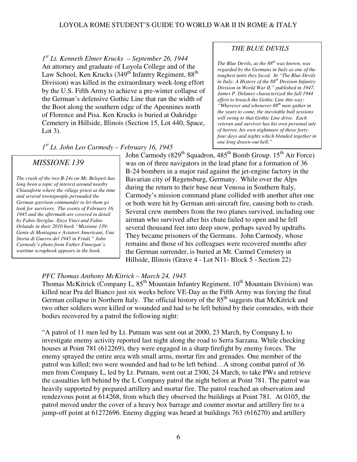*1 st Lt. Kenneth Elmer Krucks – September 26, 1944* An attorney and graduate of Loyola College and of the Law School, Ken Krucks  $(349<sup>th</sup>$  Infantry Regiment,  $88<sup>th</sup>$ Division) was killed in the extraordinary week-long effort by the U.S. Fifth Army to achieve a pre-winter collapse of the German's defensive Gothic Line that ran the width of the Boot along the southern edge of the Apennines north of Florence and Pisa. Ken Krucks is buried at Oakridge Cemetery in Hillside, Illinois (Section 15, Lot 440, Space, Lot 3).

*1 st Lt. John Leo Carmody – February 16, 1945*

# *MISSIONE 139*

*The crash of the two B-24s on Mt. Belepeit has long been a topic of interest around nearby Chiusaforte where the village priest at the time and several townspeople persuaded the German garrison commander to let them go look for survivors. The events of February 16, 1945 and the aftermath are covered in detail by Fabio Stergluc. Enzo Vinci and Fabio Orlando in their 2010 book "Missione 139: Gente di Montagna e Aviatori Americani, Una Storia di Guerra del 1945 in Friuli." John Carmody's photo from Father Finnegan's wartime scrapbook appears in the book.* 

John Carmody (829<sup>th</sup> Squadron, 485<sup>th</sup> Bomb Group. 15<sup>th</sup> Air Force) was on of three navigators in the lead plane for a formation of 36 B-24 bombers in a major raid against the jet-engine factory in the Bavarian city of Regensburg, Germany. While over the Alps during the return to their base near Venosa in Southern Italy, Carmody's mission command plane collided with another after one or both were hit by German anti-aircraft fire, causing both to crash. Several crew members from the two planes survived, including one airman who survived after his chute failed to open and he fell several thousand feet into deep snow, perhaps saved by updrafts. They became prisoners of the Germans. John Carmody, whose remains and those of his colleagues were recovered months after the German surrender, is buried at Mt. Carmel Cemetery in Hillside, Illinois (Grave 4 - Lot N11- Block 5 - Section 22)

### *PFC Thomas Anthony McKitrick – March 24, 1945*

Thomas McKitrick (Company L,  $85<sup>th</sup>$  Mountain Infantry Regiment,  $10<sup>th</sup>$  Mountain Division) was killed near Pra del Bianco just six weeks before VE-Day as the Fifth Army was forcing the final German collapse in Northern Italy. The official history of the  $85<sup>th</sup>$  suggests that McKitrick and two other soldiers were killed or wounded and had to be left behind by their comrades, with their bodies recovered by a patrol the following night:

"A patrol of 11 men led by Lt. Putnam was sent out at 2000, 23 March, by Company L to investigate enemy activity reported last night along the road to Serra Sarzana. While checking houses at Point 781 (612269), they were engaged in a sharp firefight by enemy forces. The enemy sprayed the entire area with small arms, mortar fire and grenades. One member of the patrol was killed; two were wounded and had to be left behind…A strong combat patrol of 36 men from Company L, led by Lt. Putnam, went out at 2300, 24 March, to take PWs and retrieve the casualties left behind by the L Company patrol the night before at Point 781. The patrol was heavily supported by prepared artillery and mortar fire. The patrol reached an observation and rendezvous point at 614268, from which they observed the buildings at Point 781. At 0105, the patrol moved under the cover of a heavy box barrage and counter mortar and artillery fire to a jump-off point at 61272696. Enemy digging was heard at buildings 763 (616270) and artillery

### *THE BLUE DEVILS*

*The Blue Devils, as the 88th was known, was regarded by the Germans in Italy as one of the toughest units they faced. In "The Blue Devils in Italy: A History of the 88th Division Infantry Division in World War II," published in 1947, James P. Delaney characterized the fall 1944 effort to breach the Gothic Line this way: "Wherever and whenever 88th men gather in the years to come, the inevitable bull sessions will swing to that Gothic Line drive. Each veteran and survivor has his own personal tale of horror, his own nightmare of those fortyfour days and nights which blended together in one long drawn-out hell."*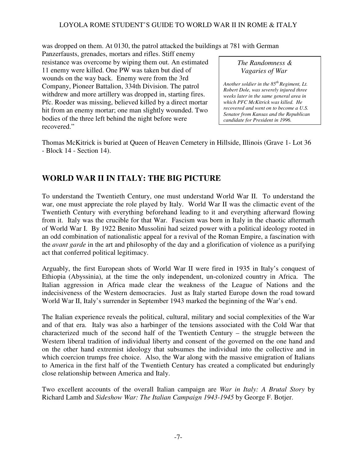was dropped on them. At 0130, the patrol attacked the buildings at 781 with German

Panzerfausts, grenades, mortars and rifles. Stiff enemy resistance was overcome by wiping them out. An estimated 11 enemy were killed. One PW was taken but died of wounds on the way back. Enemy were from the 3rd Company, Pioneer Battalion, 334th Division. The patrol withdrew and more artillery was dropped in, starting fires. Pfc. Roeder was missing, believed killed by a direct mortar hit from an enemy mortar; one man slightly wounded. Two bodies of the three left behind the night before were recovered."

 *The Randomness & Vagaries of War*

*Another soldier in the 85th Regiment, Lt. Robert Dole, was severely injured three weeks later in the same general area in which PFC McKitrick was killed. He recovered and went on to become a U.S. Senator from Kansas and the Republican candidate for President in 1996.* 

Thomas McKitrick is buried at Queen of Heaven Cemetery in Hillside, Illinois (Grave 1- Lot 36 - Block 14 - Section 14).

# **WORLD WAR II IN ITALY: THE BIG PICTURE**

To understand the Twentieth Century, one must understand World War II. To understand the war, one must appreciate the role played by Italy. World War II was the climactic event of the Twentieth Century with everything beforehand leading to it and everything afterward flowing from it. Italy was the crucible for that War. Fascism was born in Italy in the chaotic aftermath of World War I. By 1922 Benito Mussolini had seized power with a political ideology rooted in an odd combination of nationalistic appeal for a revival of the Roman Empire, a fascination with the *avant garde* in the art and philosophy of the day and a glorification of violence as a purifying act that conferred political legitimacy.

Arguably, the first European shots of World War II were fired in 1935 in Italy's conquest of Ethiopia (Abyssinia), at the time the only independent, un-colonized country in Africa. The Italian aggression in Africa made clear the weakness of the League of Nations and the indecisiveness of the Western democracies. Just as Italy started Europe down the road toward World War II, Italy's surrender in September 1943 marked the beginning of the War's end.

The Italian experience reveals the political, cultural, military and social complexities of the War and of that era. Italy was also a harbinger of the tensions associated with the Cold War that characterized much of the second half of the Twentieth Century – the struggle between the Western liberal tradition of individual liberty and consent of the governed on the one hand and on the other hand extremist ideology that subsumes the individual into the collective and in which coercion trumps free choice. Also, the War along with the massive emigration of Italians to America in the first half of the Twentieth Century has created a complicated but enduringly close relationship between America and Italy.

Two excellent accounts of the overall Italian campaign are *War in Italy: A Brutal Story* by Richard Lamb and *Sideshow War: The Italian Campaign 1943-1945* by George F. Botjer.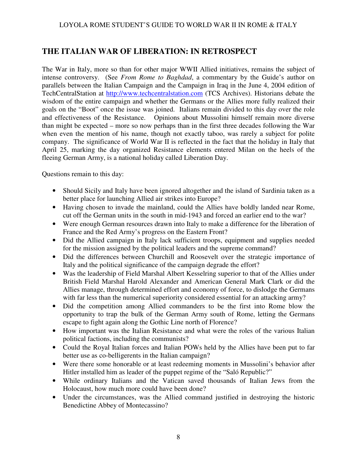# **THE ITALIAN WAR OF LIBERATION: IN RETROSPECT**

The War in Italy, more so than for other major WWII Allied initiatives, remains the subject of intense controversy. (See *From Rome to Baghdad*, a commentary by the Guide's author on parallels between the Italian Campaign and the Campaign in Iraq in the June 4, 2004 edition of TechCentralStation at http://www.techcentralstation.com (TCS Archives). Historians debate the wisdom of the entire campaign and whether the Germans or the Allies more fully realized their goals on the "Boot" once the issue was joined. Italians remain divided to this day over the role and effectiveness of the Resistance. Opinions about Mussolini himself remain more diverse than might be expected – more so now perhaps than in the first three decades following the War when even the mention of his name, though not exactly taboo, was rarely a subject for polite company. The significance of World War II is reflected in the fact that the holiday in Italy that April 25, marking the day organized Resistance elements entered Milan on the heels of the fleeing German Army, is a national holiday called Liberation Day.

Questions remain to this day:

- Should Sicily and Italy have been ignored altogether and the island of Sardinia taken as a better place for launching Allied air strikes into Europe?
- Having chosen to invade the mainland, could the Allies have boldly landed near Rome, cut off the German units in the south in mid-1943 and forced an earlier end to the war?
- Were enough German resources drawn into Italy to make a difference for the liberation of France and the Red Army's progress on the Eastern Front?
- Did the Allied campaign in Italy lack sufficient troops, equipment and supplies needed for the mission assigned by the political leaders and the supreme command?
- Did the differences between Churchill and Roosevelt over the strategic importance of Italy and the political significance of the campaign degrade the effort?
- Was the leadership of Field Marshal Albert Kesselring superior to that of the Allies under British Field Marshal Harold Alexander and American General Mark Clark or did the Allies manage, through determined effort and economy of force, to dislodge the Germans with far less than the numerical superiority considered essential for an attacking army?
- Did the competition among Allied commanders to be the first into Rome blow the opportunity to trap the bulk of the German Army south of Rome, letting the Germans escape to fight again along the Gothic Line north of Florence?
- How important was the Italian Resistance and what were the roles of the various Italian political factions, including the communists?
- Could the Royal Italian forces and Italian POWs held by the Allies have been put to far better use as co-belligerents in the Italian campaign?
- Were there some honorable or at least redeeming moments in Mussolini's behavior after Hitler installed him as leader of the puppet regime of the "Saló Republic?"
- While ordinary Italians and the Vatican saved thousands of Italian Jews from the Holocaust, how much more could have been done?
- Under the circumstances, was the Allied command justified in destroying the historic Benedictine Abbey of Montecassino?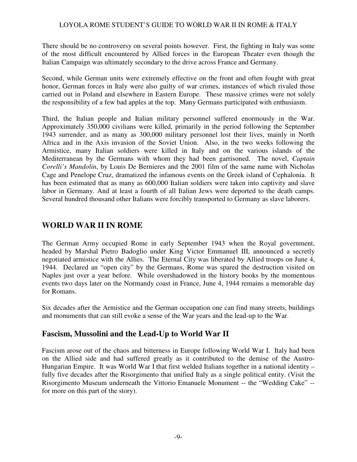There should be no controversy on several points however. First, the fighting in Italy was some of the most difficult encountered by Allied forces in the European Theater even though the Italian Campaign was ultimately secondary to the drive across France and Germany.

Second, while German units were extremely effective on the front and often fought with great honor, German forces in Italy were also guilty of war crimes, instances of which rivaled those carried out in Poland and elsewhere in Eastern Europe. These massive crimes were not solely the responsibility of a few bad apples at the top. Many Germans participated with enthusiasm.

Third, the Italian people and Italian military personnel suffered enormously in the War. Approximately 350,000 civilians were killed, primarily in the period following the September 1943 surrender, and as many as 300,000 military personnel lost their lives, mainly in North Africa and in the Axis invasion of the Soviet Union. Also, in the two weeks following the Armistice, many Italian soldiers were killed in Italy and on the various islands of the Mediterranean by the Germans with whom they had been garrisoned. The novel, *Captain Corelli's Mandolin*, by Louis De Bernieres and the 2001 film of the same name with Nicholas Cage and Penelope Cruz, dramatized the infamous events on the Greek island of Cephalonia. It has been estimated that as many as 600,000 Italian soldiers were taken into captivity and slave labor in Germany. And at least a fourth of all Italian Jews were deported to the death camps. Several hundred thousand other Italians were forcibly transported to Germany as slave laborers.

# **WORLD WAR II IN ROME**

The German Army occupied Rome in early September 1943 when the Royal government, headed by Marshal Pietro Badoglio under King Victor Emmanuel III, announced a secretly negotiated armistice with the Allies. The Eternal City was liberated by Allied troops on June 4, 1944. Declared an "open city" by the Germans, Rome was spared the destruction visited on Naples just over a year before. While overshadowed in the history books by the momentous events two days later on the Normandy coast in France, June 4, 1944 remains a memorable day for Romans.

Six decades after the Armistice and the German occupation one can find many streets, buildings and monuments that can still evoke a sense of the War years and the lead-up to the War.

### **Fascism, Mussolini and the Lead-Up to World War II**

Fascism arose out of the chaos and bitterness in Europe following World War I. Italy had been on the Allied side and had suffered greatly as it contributed to the demise of the Austro-Hungarian Empire. It was World War I that first welded Italians together in a national identity – fully five decades after the Risorgimento that unified Italy as a single political entity. (Visit the Risorgimento Museum underneath the Vittorio Emanuele Monument -- the "Wedding Cake" - for more on this part of the story).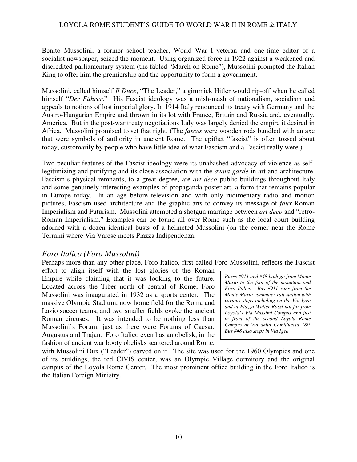Benito Mussolini, a former school teacher, World War I veteran and one-time editor of a socialist newspaper, seized the moment. Using organized force in 1922 against a weakened and discredited parliamentary system (the fabled "March on Rome"), Mussolini prompted the Italian King to offer him the premiership and the opportunity to form a government.

Mussolini, called himself *Il Duce*, "The Leader," a gimmick Hitler would rip-off when he called himself "*Der Führer*." His Fascist ideology was a mish-mash of nationalism, socialism and appeals to notions of lost imperial glory. In 1914 Italy renounced its treaty with Germany and the Austro-Hungarian Empire and thrown in its lot with France, Britain and Russia and, eventually, America. But in the post-war treaty negotiations Italy was largely denied the empire it desired in Africa. Mussolini promised to set that right. (The *fasces* were wooden rods bundled with an axe that were symbols of authority in ancient Rome. The epithet "fascist" is often tossed about today, customarily by people who have little idea of what Fascism and a Fascist really were.)

Two peculiar features of the Fascist ideology were its unabashed advocacy of violence as selflegitimizing and purifying and its close association with the *avant garde* in art and architecture. Fascism's physical remnants, to a great degree, are *art deco* public buildings throughout Italy and some genuinely interesting examples of propaganda poster art, a form that remains popular in Europe today. In an age before television and with only rudimentary radio and motion pictures, Fascism used architecture and the graphic arts to convey its message of *faux* Roman Imperialism and Futurism. Mussolini attempted a shotgun marriage between *art deco* and "retro-Roman Imperialism." Examples can be found all over Rome such as the local court building adorned with a dozen identical busts of a helmeted Mussolini (on the corner near the Rome Termini where Via Varese meets Piazza Indipendenza.

### *Foro Italico (Foro Mussolini)*

Perhaps more than any other place, Foro Italico, first called Foro Mussolini, reflects the Fascist

effort to align itself with the lost glories of the Roman Empire while claiming that it was looking to the future. Located across the Tiber north of central of Rome, Foro Mussolini was inaugurated in 1932 as a sports center. The massive Olympic Stadium, now home field for the Roma and Lazio soccer teams, and two smaller fields evoke the ancient Roman circuses. It was intended to be nothing less than Mussolini's Forum, just as there were Forums of Caesar, Augustus and Trajan. Foro Italico even has an obelisk, in the fashion of ancient war booty obelisks scattered around Rome,

*Buses #911 and #48 both go from Monte Mario to the foot of the mountain and Foro Italico. Bus #911 runs from the Monte Mario commuter rail station with various stops including on the Via Igea and at Piazza Walter Rossi not far from Loyola's Via Massimi Campus and just in front of the second Loyola Rome Campus at Via della Camilluccia 180. Bus #48 also stops in Via Igea* 

with Mussolini Dux ("Leader") carved on it. The site was used for the 1960 Olympics and one of its buildings, the red CIVIS center, was an Olympic Village dormitory and the original campus of the Loyola Rome Center. The most prominent office building in the Foro Italico is the Italian Foreign Ministry.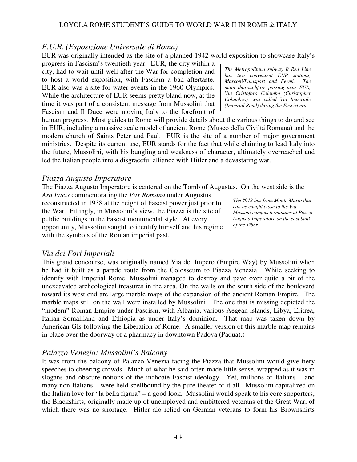$-11$ 

### LOYOLA ROME STUDENT'S GUIDE TO WORLD WAR II IN ROME & ITALY

# *E.U.R. (Esposizione Universale di Roma)*

EUR was originally intended as the site of a planned 1942 world exposition to showcase Italy's

progress in Fascism's twentieth year. EUR, the city within a city, had to wait until well after the War for completion and to host a world exposition, with Fascism a bad aftertaste. EUR also was a site for water events in the 1960 Olympics. While the architecture of EUR seems pretty bland now, at the time it was part of a consistent message from Mussolini that Fascism and Il Duce were moving Italy to the forefront of

human progress. Most guides to Rome will provide details about the various things to do and see in EUR, including a massive scale model of ancient Rome (Museo della Civiltá Romana) and the modern church of Saints Peter and Paul. EUR is the site of a number of major government ministries. Despite its current use, EUR stands for the fact that while claiming to lead Italy into the future, Mussolini, with his bungling and weakness of character, ultimately overreached and led the Italian people into a disgraceful alliance with Hitler and a devastating war.

# *Piazza Augusto Imperatore*

The Piazza Augusto Imperatore is centered on the Tomb of Augustus. On the west side is the

*Ara Pacis* commemorating the *Pax Romana* under Augustus, reconstructed in 1938 at the height of Fascist power just prior to the War. Fittingly, in Mussolini's view, the Piazza is the site of public buildings in the Fascist monumental style. At every opportunity, Mussolini sought to identify himself and his regime with the symbols of the Roman imperial past.

# *Via dei Fori Imperiali*

This grand concourse, was originally named Via del Impero (Empire Way) by Mussolini when he had it built as a parade route from the Colosseum to Piazza Venezia. While seeking to identify with Imperial Rome, Mussolini managed to destroy and pave over quite a bit of the unexcavated archeological treasures in the area. On the walls on the south side of the boulevard toward its west end are large marble maps of the expansion of the ancient Roman Empire. The marble maps still on the wall were installed by Mussolini. The one that is missing depicted the "modern" Roman Empire under Fascism, with Albania, various Aegean islands, Libya, Eritrea, Italian Somaliland and Ethiopia as under Italy's dominion. That map was taken down by American GIs following the Liberation of Rome. A smaller version of this marble map remains in place over the doorway of a pharmacy in downtown Padova (Padua).)

# *Palazzo Venezia: Mussolini's Balcony*

It was from the balcony of Palazzo Venezia facing the Piazza that Mussolini would give fiery speeches to cheering crowds. Much of what he said often made little sense, wrapped as it was in slogans and obscure notions of the inchoate Fascist ideology. Yet, millions of Italians – and many non-Italians – were held spellbound by the pure theater of it all. Mussolini capitalized on the Italian love for "la bella figura" – a good look. Mussolini would speak to his core supporters, the Blackshirts, originally made up of unemployed and embittered veterans of the Great War, of which there was no shortage. Hitler alo relied on German veterans to form his Brownshirts

*The #913 bus from Monte Mario that can be caught close to the Via Massimi campus terminates at Piazza Augusto Imperatore on the east bank of the Tiber.* 

*The Metropolitana subway B Red Line has two convenient EUR stations, Marconi/Palasport and Fermi. The main thoroughfare passing near EUR, Via Cristoforo Colombo (Christopher Columbus), was called Via Imperiale (Imperial Road) during the Fascist era.*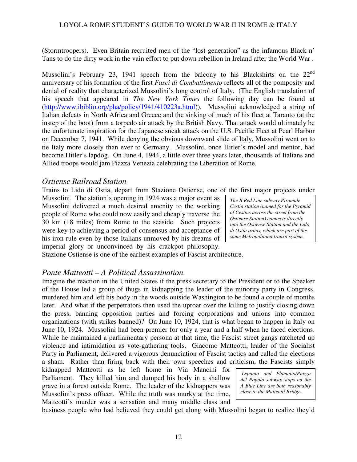(Stormtroopers). Even Britain recruited men of the "lost generation" as the infamous Black n' Tans to do the dirty work in the vain effort to put down rebellion in Ireland after the World War .

Mussolini's February 23, 1941 speech from the balcony to his Blackshirts on the 22<sup>nd</sup> anniversary of his formation of the first *Fasci di Combattimento* reflects all of the pomposity and denial of reality that characterized Mussolini's long control of Italy. (The English translation of his speech that appeared in *The New York Times* the following day can be found at (http://www.ibiblio.org/pha/policy/1941/410223a.html)). Mussolini acknowledged a string of Italian defeats in North Africa and Greece and the sinking of much of his fleet at Taranto (at the instep of the boot) from a torpedo air attack by the British Navy. That attack would ultimately be the unfortunate inspiration for the Japanese sneak attack on the U.S. Pacific Fleet at Pearl Harbor on December 7, 1941. While denying the obvious downward slide of Italy, Mussolini went on to tie Italy more closely than ever to Germany. Mussolini, once Hitler's model and mentor, had become Hitler's lapdog. On June 4, 1944, a little over three years later, thousands of Italians and Allied troops would jam Piazza Venezia celebrating the Liberation of Rome.

### *Ostiense Railroad Station*

Trains to Lido di Ostia, depart from Stazione Ostiense, one of the first major projects under

Mussolini. The station's opening in 1924 was a major event as Mussolini delivered a much desired amenity to the working people of Rome who could now easily and cheaply traverse the 30 km (18 miles) from Rome to the seaside. Such projects were key to achieving a period of consensus and acceptance of his iron rule even by those Italians unmoved by his dreams of imperial glory or unconvinced by his crackpot philosophy.

*The B Red Line subway Piramide Cestia station (named for the Pyramid of Cestius across the street from the Ostiense Station) connects directly into the Ostiense Station and the Lido di Ostia trains, which are part of the same Metropolitana transit system.* 

Stazione Ostiense is one of the earliest examples of Fascist architecture.

### *Ponte Matteotti – A Political Assassination*

Imagine the reaction in the United States if the press secretary to the President or to the Speaker of the House led a group of thugs in kidnapping the leader of the minority party in Congress, murdered him and left his body in the woods outside Washington to be found a couple of months later. And what if the perpetrators then used the uproar over the killing to justify closing down the press, banning opposition parties and forcing corporations and unions into common organizations (with strikes banned)? On June 10, 1924, that is what began to happen in Italy on June 10, 1924. Mussolini had been premier for only a year and a half when he faced elections. While he maintained a parliamentary persona at that time, the Fascist street gangs ratcheted up violence and intimidation as vote-gathering tools. Giacomo Matteotti, leader of the Socialist Party in Parliament, delivered a vigorous denunciation of Fascist tactics and called the elections a sham. Rather than firing back with their own speeches and criticism, the Fascists simply

kidnapped Matteotti as he left home in Via Mancini for Parliament. They killed him and dumped his body in a shallow grave in a forest outside Rome. The leader of the kidnappers was Mussolini's press officer. While the truth was murky at the time, Matteotti's murder was a sensation and many middle class and

 *Lepanto and Flaminio/Piazza del Popolo subway stops on the A Blue Line are both reasonably close to the Matteotti Bridge.* 

business people who had believed they could get along with Mussolini began to realize they'd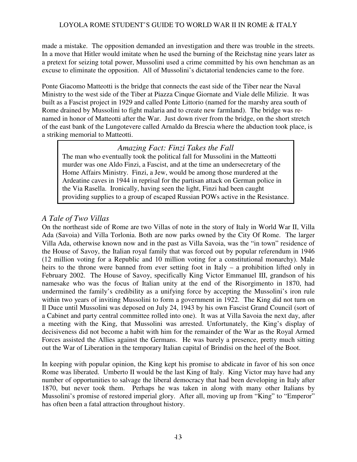made a mistake. The opposition demanded an investigation and there was trouble in the streets. In a move that Hitler would imitate when he used the burning of the Reichstag nine years later as a pretext for seizing total power, Mussolini used a crime committed by his own henchman as an excuse to eliminate the opposition. All of Mussolini's dictatorial tendencies came to the fore.

Ponte Giacomo Matteotti is the bridge that connects the east side of the Tiber near the Naval Ministry to the west side of the Tiber at Piazza Cinque Giornate and Viale delle Milizie. It was built as a Fascist project in 1929 and called Ponte Littorio (named for the marshy area south of Rome drained by Mussolini to fight malaria and to create new farmland). The bridge was renamed in honor of Matteotti after the War. Just down river from the bridge, on the short stretch of the east bank of the Lungotevere called Arnaldo da Brescia where the abduction took place, is a striking memorial to Matteotti.

# *Amazing Fact: Finzi Takes the Fall*

The man who eventually took the political fall for Mussolini in the Matteotti murder was one Aldo Finzi, a Fascist, and at the time an undersecretary of the Home Affairs Ministry. Finzi, a Jew, would be among those murdered at the Ardeatine caves in 1944 in reprisal for the partisan attack on German police in the Via Rasella. Ironically, having seen the light, Finzi had been caught providing supplies to a group of escaped Russian POWs active in the Resistance.

# *A Tale of Two Villas*

On the northeast side of Rome are two Villas of note in the story of Italy in World War II, Villa Ada (Savoia) and Villa Torlonia. Both are now parks owned by the City Of Rome. The larger Villa Ada, otherwise known now and in the past as Villa Savoia, was the "in town" residence of the House of Savoy, the Italian royal family that was forced out by popular referendum in 1946 (12 million voting for a Republic and 10 million voting for a constitutional monarchy). Male heirs to the throne were banned from ever setting foot in Italy – a prohibition lifted only in February 2002. The House of Savoy, specifically King Victor Emmanuel III, grandson of his namesake who was the focus of Italian unity at the end of the Risorgimento in 1870, had undermined the family's credibility as a unifying force by accepting the Mussolini's iron rule within two years of inviting Mussolini to form a government in 1922. The King did not turn on Il Duce until Mussolini was deposed on July 24, 1943 by his own Fascist Grand Council (sort of a Cabinet and party central committee rolled into one). It was at Villa Savoia the next day, after a meeting with the King, that Mussolini was arrested. Unfortunately, the King's display of decisiveness did not become a habit with him for the remainder of the War as the Royal Armed Forces assisted the Allies against the Germans. He was barely a presence, pretty much sitting out the War of Liberation in the temporary Italian capital of Brindisi on the heel of the Boot.

In keeping with popular opinion, the King kept his promise to abdicate in favor of his son once Rome was liberated. Umberto II would be the last King of Italy. King Victor may have had any number of opportunities to salvage the liberal democracy that had been developing in Italy after 1870, but never took them. Perhaps he was taken in along with many other Italians by Mussolini's promise of restored imperial glory. After all, moving up from "King" to "Emperor" has often been a fatal attraction throughout history.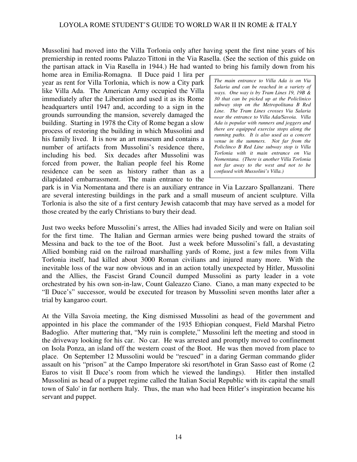Mussolini had moved into the Villa Torlonia only after having spent the first nine years of his premiership in rented rooms Palazzo Tittoni in the Via Rasella. (See the section of this guide on the partisan attack in Via Rasella in 1944.) He had wanted to bring his family down from his

home area in Emilia-Romagna. Il Duce paid 1 lira per year as rent for Villa Torlonia, which is now a City park like Villa Ada. The American Army occupied the Villa immediately after the Liberation and used it as its Rome headquarters until 1947 and, according to a sign in the grounds surrounding the mansion, severely damaged the building. Starting in 1978 the City of Rome began a slow process of restoring the building in which Mussolini and his family lived. It is now an art museum and contains a number of artifacts from Mussolini's residence there, including his bed. Six decades after Mussolini was forced from power, the Italian people feel his Rome residence can be seen as history rather than as a dilapidated embarrassment. The main entrance to the

*The main entrance to Villa Ada is on Via Salaria and can be reached in a variety of ways. One way is by Tram Lines 19, 19B & 30 that can be picked up at the Policlinico subway stop on the Metropolitana B Red Line. The Tram Lines crosses Via Salaria near the entrance to Villa Ada/Savoia. Villa Ada is popular with runners and joggers and there are equipped exercise stops along the running paths. It is also used as a concert venue in the summers. Not far from the Policlinco B Red Line subway stop is Villa Torlonia with it main entrance on Via Nomentana. (There is another Villa Torlonia not far away to the west and not to be confused with Mussolini's Villa.)* 

park is in Via Nomentana and there is an auxiliary entrance in Via Lazzaro Spallanzani. There are several interesting buildings in the park and a small museum of ancient sculpture. Villa Torlonia is also the site of a first century Jewish catacomb that may have served as a model for those created by the early Christians to bury their dead.

Just two weeks before Mussolini's arrest, the Allies had invaded Sicily and were on Italian soil for the first time. The Italian and German armies were being pushed toward the straits of Messina and back to the toe of the Boot. Just a week before Mussolini's fall, a devastating Allied bombing raid on the railroad marshalling yards of Rome, just a few miles from Villa Torlonia itself, had killed about 3000 Roman civilians and injured many more. With the inevitable loss of the war now obvious and in an action totally unexpected by Hitler, Mussolini and the Allies, the Fascist Grand Council dumped Mussolini as party leader in a vote orchestrated by his own son-in-law, Count Galeazzo Ciano. Ciano, a man many expected to be "Il Duce's" successor, would be executed for treason by Mussolini seven months later after a trial by kangaroo court.

At the Villa Savoia meeting, the King dismissed Mussolini as head of the government and appointed in his place the commander of the 1935 Ethiopian conquest, Field Marshal Pietro Badoglio. After muttering that, "My ruin is complete," Mussolini left the meeting and stood in the driveway looking for his car. No car. He was arrested and promptly moved to confinement on Isola Ponza, an island off the western coast of the Boot. He was then moved from place to place. On September 12 Mussolini would be "rescued" in a daring German commando glider assault on his "prison" at the Campo Imperatore ski resort/hotel in Gran Sasso east of Rome (2 Euros to visit Il Duce's room from which he viewed the landings). Hitler then installed Mussolini as head of a puppet regime called the Italian Social Republic with its capital the small town of Salo' in far northern Italy. Thus, the man who had been Hitler's inspiration became his servant and puppet.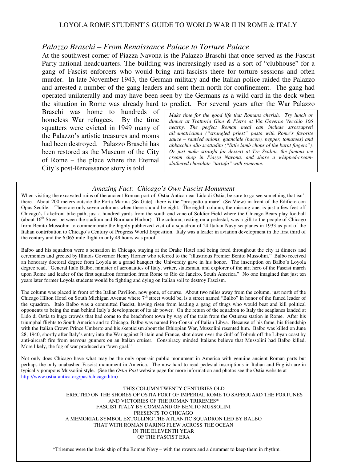### *Palazzo Braschi – From Renaissance Palace to Torture Palace*

At the southwest corner of Piazza Navona is the Palazzo Braschi that once served as the Fascist Party national headquarters. The building was increasingly used as a sort of "clubhouse" for a gang of Fascist enforcers who would bring anti-fascists there for torture sessions and often murder. In late November 1943, the German military and the Italian police raided the Palazzo and arrested a number of the gang leaders and sent them north for confinement. The gang had operated unilaterally and may have been seen by the Germans as a wild card in the deck when the situation in Rome was already hard to predict. For several years after the War Palazzo

Braschi was home to hundreds of homeless War refugees. By the time squatters were evicted in 1949 many of the Palazzo's artistic treasures and rooms had been destroyed. Palazzo Braschi has been restored as the Museum of the City of Rome – the place where the Eternal City's post-Renaissance story is told.

*Make time for the good life that Romans cherish. Try lunch or dinner at Trattoria Gino & Pietro at Via Governo Vecchio 106 nearby. The perfect Roman meal can include strozzapreti all'amatriciana ("strangled priest" pasta with Rome's favorite sauce – sautéed onions, guanciale (bacon), pepper, tomatoes) and abbacchio allo scottadito ("little lamb chops of the burnt fingers"). Or just make straight for dessert at Tre Scalini, the famous ice cream shop in Piazza Navona, and share a whipped-creamslathered chocolate "tartufo" with someone.* 

#### *Amazing Fact: Chicago's Own Fascist Monument*

When visiting the excavated ruins of the ancient Roman port of Ostia Antica near Lido di Ostia, be sure to go see something that isn't there. About 200 meters outside the Porta Marina (SeaGate), there is the "prospetto a mare" (SeaView) in front of the Edificio con Opus Sectile. There are only seven columns when there should be eight. The eighth column, the missing one, is just a few feet off Chicago's Lakefront bike path, just a hundred yards from the south end zone of Soldier Field where the Chicago Bears play football (about 16<sup>th</sup> Street between the stadium and Burnham Harbor). The column, resting on a pedestal, was a gift to the people of Chicago from Benito Mussolini to commemorate the highly publicized visit of a squadron of 24 Italian Navy seaplanes in 1933 as part of the Italian contribution to Chicago's Century of Progress World Exposition. Italy was a leader in aviation development in the first third of the century and the 6,065 mile flight in only 49 hours was proof.

Balbo and his squadron were a sensation in Chicago, staying at the Drake Hotel and being feted throughout the city at dinners and ceremonies and greeted by Illinois Governor Henry Horner who referred to the "illustrious Premier Benito Mussolini." Balbo received an honorary doctoral degree from Loyola at a grand banquet the University gave in his honor. The inscription on Balbo's Loyola degree read, "General Italo Balbo, minister of aeronautics of Italy, writer, statesman, and explorer of the air; hero of the Fascist march upon Rome and leader of the first squadron formation from Rome to Rio de Janeiro, South America." No one imagined that just ten years later former Loyola students would be fighting and dying on Italian soil to destroy Fascism.

The column was placed in front of the Italian Pavilion, now gone, of course. About two miles away from the column, just north of the Chicago Hilton Hotel on South Michigan Avenue where  $7<sup>th</sup>$  street would be, is a street named "Balbo" in honor of the famed leader of the squadron. Italo Balbo was a committed Fascist, having risen from leading a gang of thugs who would beat and kill political opponents to being the man behind Italy's development of its air power. On the return of the squadron to Italy the seaplanes landed at Lido di Ostia to huge crowds that had come to the beachfront town by way of the train from the Ostiense station in Rome. After his triumphal flights to South America and to Chicago, Balbo was named Pro-Consul of Italian Libya. Because of his fame, his friendship with the Italian Crown Prince Umberto and his skepticism about the Ethiopian War, Mussolini resented him. Balbo was killed on June 28, 1940, shortly after Italy's entry into the War against Britain and France, shot down over the Gulf of Tobruk off the Libyan coast by anti-aircraft fire from nervous gunners on an Italian cruiser. Conspiracy minded Italians believe that Mussolini had Balbo killed. More likely, the fog of war produced an "own goal."

Not only does Chicago have what may be the only open-air public monument in America with genuine ancient Roman parts but perhaps the only unabashed Fascist monument in America. The now hard-to-read pedestal inscriptions in Italian and English are in typically pompous Mussolini style. (See the *Ostia Past* website page for more information and photos see the Ostia website at http://www.ostia-antica.org/past/chicago.htm)

> OF THE FASCIST ERA THIS COLUMN TWENTY CENTURIES OLD ERECTED ON THE SHORES OF OSTIA PORT OF IMPERIAL ROME TO SAFEGUARD THE FORTUNES AND VICTORIES OF THE ROMAN TRIREMES\* FASCIST ITALY BY COMMAND OF BENITO MUSSOLINI PRESENTS TO CHICAGO A MEMORIAL SYMBOL EXTOLLING THE ATLANTIC SQUADRON LED BY BALBO THAT WITH ROMAN DARING FLEW ACROSS THE OCEAN IN THE ELEVENTH YEAR

\*Triremes were the basic ship of the Roman Navy – with the rowers and a drummer to keep them in rhythm.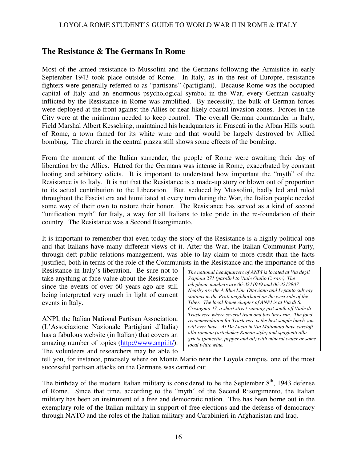### **The Resistance & The Germans In Rome**

Most of the armed resistance to Mussolini and the Germans following the Armistice in early September 1943 took place outside of Rome. In Italy, as in the rest of Europre, resistance fighters were generally referred to as "partisans" (partigiani). Because Rome was the occupied capital of Italy and an enormous psychological symbol in the War, every German casualty inflicted by the Resistance in Rome was amplified. By necessity, the bulk of German forces were deployed at the front against the Allies or near likely coastal invasion zones. Forces in the City were at the minimum needed to keep control. The overall German commander in Italy, Field Marshal Albert Kesselring, maintained his headquarters in Frascati in the Alban Hills south of Rome, a town famed for its white wine and that would be largely destroyed by Allied bombing. The church in the central piazza still shows some effects of the bombing.

From the moment of the Italian surrender, the people of Rome were awaiting their day of liberation by the Allies. Hatred for the Germans was intense in Rome, exacerbated by constant looting and arbitrary edicts. It is important to understand how important the "myth" of the Resistance is to Italy. It is not that the Resistance is a made-up story or blown out of proportion to its actual contribution to the Liberation. But, seduced by Mussolini, badly led and ruled throughout the Fascist era and humiliated at every turn during the War, the Italian people needed some way of their own to restore their honor. The Resistance has served as a kind of second "unification myth" for Italy, a way for all Italians to take pride in the re-foundation of their country. The Resistance was a Second Risorgimento.

It is important to remember that even today the story of the Resistance is a highly political one and that Italians have many different views of it. After the War, the Italian Communist Party, through deft public relations management, was able to lay claim to more credit than the facts justified, both in terms of the role of the Communists in the Resistance and the importance of the

Resistance in Italy's liberation. Be sure not to take anything at face value about the Resistance since the events of over 60 years ago are still being interpreted very much in light of current events in Italy.

ANPI, the Italian National Partisan Association, (L'Associazione Nazionale Partigiani d'Italia) has a fabulous website (in Italian) that covers an amazing number of topics (http://www.anpi.it/). The volunteers and researchers may be able to *The national headquarters of ANPI is located at Via degli Scipioni 271 (parallel to Viale Giulio Cesare). The telephone numbers are 06-3211949 and 06-3212807. Nearby are the A Blue Line Ottaviano and Lepanto subway stations in the Prati neighborhood on the west side of the Tiber. The local Rome chapter of ANPI is at Via di S. Crisogono 47, a short street running just south off Viale di Trastevere where several tram and bus lines run. The food recommendation for Trastevere is the best simple lunch you will ever have. At Da Lucia in Via Mattonato have carciofi alla romana (artichokes Roman style) and spaghetti alla gricia (pancetta, pepper and oil) with mineral water or some local white wine.* 

tell you, for instance, precisely where on Monte Mario near the Loyola campus, one of the most successful partisan attacks on the Germans was carried out.

The birthday of the modern Italian military is considered to be the September  $8<sup>th</sup>$ , 1943 defense of Rome. Since that time, according to the "myth" of the Second Risorgimento, the Italian military has been an instrument of a free and democratic nation. This has been borne out in the exemplary role of the Italian military in support of free elections and the defense of democracy through NATO and the roles of the Italian military and Carabinieri in Afghanistan and Iraq.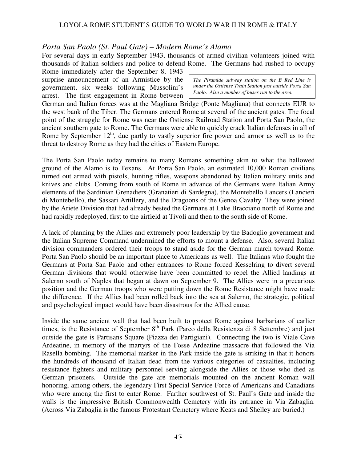### *Porta San Paolo (St. Paul Gate) – Modern Rome's Alamo*

For several days in early September 1943, thousands of armed civilian volunteers joined with thousands of Italian soldiers and police to defend Rome. The Germans had rushed to occupy

Rome immediately after the September 8, 1943 surprise announcement of an Armistice by the government, six weeks following Mussolini's arrest. The first engagement in Rome between

*The Piramide subway station on the B Red Line is under the Ostiense Train Station just outside Porta San Paolo. Also a number of buses run to the area.* 

German and Italian forces was at the Magliana Bridge (Ponte Magliana) that connects EUR to the west bank of the Tiber. The Germans entered Rome at several of the ancient gates. The focal point of the struggle for Rome was near the Ostiense Railroad Station and Porta San Paolo, the ancient southern gate to Rome. The Germans were able to quickly crack Italian defenses in all of Rome by September  $12<sup>th</sup>$ , due partly to vastly superior fire power and armor as well as to the threat to destroy Rome as they had the cities of Eastern Europe.

The Porta San Paolo today remains to many Romans something akin to what the hallowed ground of the Alamo is to Texans. At Porta San Paolo, an estimated 10,000 Roman civilians turned out armed with pistols, hunting rifles, weapons abandoned by Italian military units and knives and clubs. Coming from south of Rome in advance of the Germans were Italian Army elements of the Sardinian Grenadiers (Granatieri di Sardegna), the Montebello Lancers (Lancieri di Montebello), the Sassari Artillery, and the Dragoons of the Genoa Cavalry. They were joined by the Ariete Division that had already bested the Germans at Lake Bracciano north of Rome and had rapidly redeployed, first to the airfield at Tivoli and then to the south side of Rome.

A lack of planning by the Allies and extremely poor leadership by the Badoglio government and the Italian Supreme Command undermined the efforts to mount a defense. Also, several Italian division commanders ordered their troops to stand aside for the German march toward Rome. Porta San Paolo should be an important place to Americans as well. The Italians who fought the Germans at Porta San Paolo and other entrances to Rome forced Kesselring to divert several German divisions that would otherwise have been committed to repel the Allied landings at Salerno south of Naples that began at dawn on September 9. The Allies were in a precarious position and the German troops who were putting down the Rome Resistance might have made the difference. If the Allies had been rolled back into the sea at Salerno, the strategic, political and psychological impact would have been disastrous for the Allied cause.

Inside the same ancient wall that had been built to protect Rome against barbarians of earlier times, is the Resistance of September  $8<sup>th</sup>$  Park (Parco della Resistenza di 8 Settembre) and just outside the gate is Partisans Square (Piazza dei Partigiani). Connecting the two is Viale Cave Ardeatine, in memory of the martyrs of the Fosse Ardeatine massacre that followed the Via Rasella bombing. The memorial marker in the Park inside the gate is striking in that it honors the hundreds of thousand of Italian dead from the various categories of casualties, including resistance fighters and military personnel serving alongside the Allies or those who died as German prisoners. Outside the gate are memorials mounted on the ancient Roman wall honoring, among others, the legendary First Special Service Force of Americans and Canadians who were among the first to enter Rome. Farther southwest of St. Paul's Gate and inside the walls is the impressive British Commonwealth Cemetery with its entrance in Via Zabaglia. (Across Via Zabaglia is the famous Protestant Cemetery where Keats and Shelley are buried.)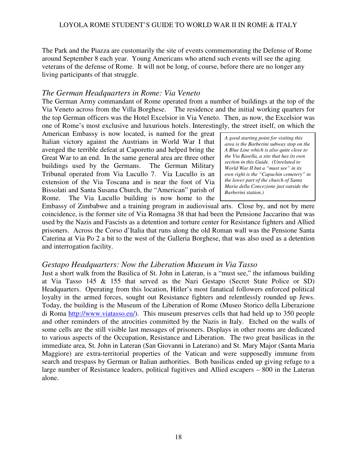The Park and the Piazza are customarily the site of events commemorating the Defense of Rome around September 8 each year. Young Americans who attend such events will see the aging veterans of the defense of Rome. It will not be long, of course, before there are no longer any living participants of that struggle.

### *The German Headquarters in Rome: Via Veneto*

The German Army commandant of Rome operated from a number of buildings at the top of the Via Veneto across from the Villa Borghese. The residence and the initial working quarters for the top German officers was the Hotel Excelsior in Via Veneto. Then, as now, the Excelsior was one of Rome's most exclusive and luxurious hotels. Interestingly, the street itself, on which the

American Embassy is now located, is named for the great Italian victory against the Austrians in World War I that avenged the terrible defeat at Caporetto and helped bring the Great War to an end. In the same general area are three other buildings used by the Germans. The German Military Tribunal operated from Via Lucullo 7. Via Lucullo is an extension of the Via Toscana and is near the foot of Via Bissolati and Santa Susana Church, the "American" parish of Rome. The Via Lucullo building is now home to the

*A good starting point for visiting this area is the Barberini subway stop on the A Blue Line which is also quite close to the Via Rasella, a site that has its own section in this Guide. (Unrelated to World War II but a "must see" in its own right is the "Capuchin cemetery" in the lower part of the church of Santa Maria della Concezione just outside the Barberini station.)* 

Embassy of Zimbabwe and a training program in audiovisual arts. Close by, and not by mere coincidence, is the former site of Via Romagna 38 that had been the Pensione Jaccarino that was used by the Nazis and Fascists as a detention and torture center for Resistance fighters and Allied prisoners. Across the Corso d'Italia that runs along the old Roman wall was the Pensione Santa Caterina at Via Po 2 a bit to the west of the Galleria Borghese, that was also used as a detention and interrogation facility.

### *Gestapo Headquarters: Now the Liberation Museum in Via Tasso*

Just a short walk from the Basilica of St. John in Lateran, is a "must see," the infamous building at Via Tasso 145 & 155 that served as the Nazi Gestapo (Secret State Police or SD) Headquarters. Operating from this location, Hitler's most fanatical followers enforced political loyalty in the armed forces, sought out Resistance fighters and relentlessly rounded up Jews. Today, the building is the Museum of the Liberation of Rome (Museo Storico della Liberazione di Roma http://www.viatasso.eu/). This museum preserves cells that had held up to 350 people and other reminders of the atrocities committed by the Nazis in Italy. Etched on the walls of some cells are the still visible last messages of prisoners. Displays in other rooms are dedicated to various aspects of the Occupation, Resistance and Liberation. The two great basilicas in the immediate area, St. John in Lateran (San Giovanni in Laterano) and St. Mary Major (Santa Maria Maggiore) are extra-territorial properties of the Vatican and were supposedly immune from search and trespass by German or Italian authorities. Both basilicas ended up giving refuge to a large number of Resistance leaders, political fugitives and Allied escapers – 800 in the Lateran alone.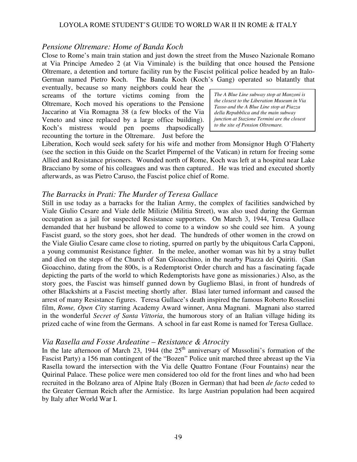#### *Pensione Oltremare: Home of Banda Koch*

Close to Rome's main train station and just down the street from the Museo Nazionale Romano at Via Principe Amedeo 2 (at Via Viminale) is the building that once housed the Pensione Oltremare, a detention and torture facility run by the Fascist political police headed by an Italo-German named Pietro Koch. The Banda Koch (Koch's Gang) operated so blatantly that

eventually, because so many neighbors could hear the screams of the torture victims coming from the Oltremare, Koch moved his operations to the Pensione Jaccarino at Via Romagna 38 (a few blocks of the Via Veneto and since replaced by a large office building). Koch's mistress would pen poems rhapsodically recounting the torture in the Oltremare. Just before the

*The A Blue Line subway stop at Manzoni is the closest to the Liberation Museum in Via Tasso and the A Blue Line stop at Piazza della Repubblica and the main subway junction at Stazione Termini are the closest to the site of Pension Oltremare.* 

Liberation, Koch would seek safety for his wife and mother from Monsignor Hugh O'Flaherty (see the section in this Guide on the Scarlet Pimpernel of the Vatican) in return for freeing some Allied and Resistance prisoners. Wounded north of Rome, Koch was left at a hospital near Lake Bracciano by some of his colleagues and was then captured.. He was tried and executed shortly afterwards, as was Pietro Caruso, the Fascist police chief of Rome.

#### *The Barracks in Prati: The Murder of Teresa Gullace*

Still in use today as a barracks for the Italian Army, the complex of facilities sandwiched by Viale Giulio Cesare and Viale delle Milizie (Militia Street), was also used during the German occupation as a jail for suspected Resistance supporters. On March 3, 1944, Teresa Gullace demanded that her husband be allowed to come to a window so she could see him. A young Fascist guard, so the story goes, shot her dead. The hundreds of other women in the crowd on the Viale Giulio Cesare came close to rioting, spurred on partly by the ubiquitous Carla Capponi, a young communist Resistance fighter. In the melee, another woman was hit by a stray bullet and died on the steps of the Church of San Gioacchino, in the nearby Piazza dei Quiriti. (San Gioacchino, dating from the 800s, is a Redemptorist Order church and has a fascinating façade depicting the parts of the world to which Redemptorists have gone as missionaries.) Also, as the story goes, the Fascist was himself gunned down by Gugliemo Blasi, in front of hundreds of other Blackshirts at a Fascist meeting shortly after. Blasi later turned informant and caused the arrest of many Resistance figures. Teresa Gullace's death inspired the famous Roberto Rosselini film, *Rome, Open City* starring Academy Award winner, Anna Magnani. Magnani also starred in the wonderful *Secret of Santa Vittoria*, the humorous story of an Italian village hiding its prized cache of wine from the Germans. A school in far east Rome is named for Teresa Gullace.

#### *Via Rasella and Fosse Ardeatine – Resistance & Atrocity*

In the late afternoon of March 23, 1944 (the  $25<sup>th</sup>$  anniversary of Mussolini's formation of the Fascist Party) a 156 man contingent of the "Bozen" Police unit marched three abreast up the Via Rasella toward the intersection with the Via delle Quattro Fontane (Four Fountains) near the Quirinal Palace. These police were men considered too old for the front lines and who had been recruited in the Bolzano area of Alpine Italy (Bozen in German) that had been *de facto* ceded to the Greater German Reich after the Armistice. Its large Austrian population had been acquired by Italy after World War I.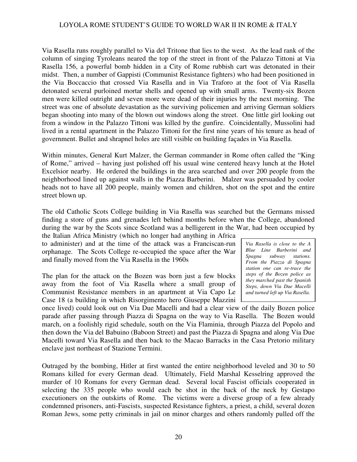Via Rasella runs roughly parallel to Via del Tritone that lies to the west. As the lead rank of the column of singing Tyroleans neared the top of the street in front of the Palazzo Tittoni at Via Rasella 156, a powerful bomb hidden in a City of Rome rubbish cart was detonated in their midst. Then, a number of Gappisti (Communist Resistance fighters) who had been positioned in the Via Boccaccio that crossed Via Rasella and in Via Traforo at the foot of Via Rasella detonated several purloined mortar shells and opened up with small arms. Twenty-six Bozen men were killed outright and seven more were dead of their injuries by the next morning. The street was one of absolute devastation as the surviving policemen and arriving German soldiers began shooting into many of the blown out windows along the street. One little girl looking out from a window in the Palazzo Tittoni was killed by the gunfire. Coincidentally, Mussolini had lived in a rental apartment in the Palazzo Tittoni for the first nine years of his tenure as head of government. Bullet and shrapnel holes are still visible on building façades in Via Rasella.

Within minutes, General Kurt Malzer, the German commander in Rome often called the "King of Rome," arrived – having just polished off his usual wine centered heavy lunch at the Hotel Excelsior nearby. He ordered the buildings in the area searched and over 200 people from the neighborhood lined up against walls in the Piazza Barberini. Malzer was persuaded by cooler heads not to have all 200 people, mainly women and children, shot on the spot and the entire street blown up.

The old Catholic Scots College building in Via Rasella was searched but the Germans missed finding a store of guns and grenades left behind months before when the College, abandoned during the war by the Scots since Scotland was a belligerent in the War, had been occupied by

the Italian Africa Ministry (which no longer had anything in Africa to administer) and at the time of the attack was a Franciscan-run orphanage. The Scots College re-occupied the space after the War and finally moved from the Via Rasella in the 1960s

The plan for the attack on the Bozen was born just a few blocks away from the foot of Via Rasella where a small group of Communist Resistance members in an apartment at Via Capo Le Case 18 (a building in which Risorgimento hero Giuseppe Mazzini

*Via Rasella is close to the A Blue Line Barberini and*   $subway$  stations. *From the Piazza di Spagna station one can re-trace the steps of the Bozen police as they marched past the Spanish Steps, down Via Due Macelli and turned left up Via Rasella.* 

once lived) could look out on Via Due Macelli and had a clear view of the daily Bozen police parade after passing through Piazza di Spagna on the way to Via Rasella. The Bozen would march, on a foolishly rigid schedule, south on the Via Flaminia, through Piazza del Popolo and then down the Via del Babuino (Baboon Street) and past the Piazza di Spagna and along Via Due Macelli toward Via Rasella and then back to the Macao Barracks in the Casa Pretorio military enclave just northeast of Stazione Termini.

Outraged by the bombing, Hitler at first wanted the entire neighborhood leveled and 30 to 50 Romans killed for every German dead. Ultimately, Field Marshal Kesselring approved the murder of 10 Romans for every German dead. Several local Fascist officials cooperated in selecting the 335 people who would each be shot in the back of the neck by Gestapo executioners on the outskirts of Rome. The victims were a diverse group of a few already condemned prisoners, anti-Fascists, suspected Resistance fighters, a priest, a child, several dozen Roman Jews, some petty criminals in jail on minor charges and others randomly pulled off the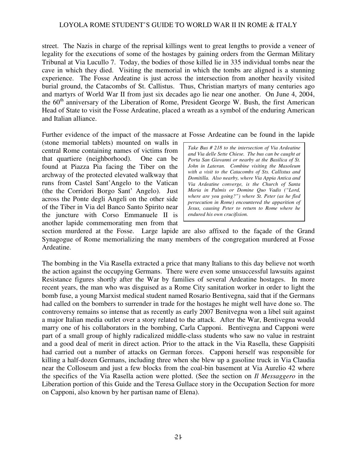street. The Nazis in charge of the reprisal killings went to great lengths to provide a veneer of legality for the executions of some of the hostages by gaining orders from the German Military Tribunal at Via Lucullo 7. Today, the bodies of those killed lie in 335 individual tombs near the cave in which they died. Visiting the memorial in which the tombs are aligned is a stunning experience. The Fosse Ardeatine is just across the intersection from another heavily visited burial ground, the Catacombs of St. Callistus. Thus, Christian martyrs of many centuries ago and martyrs of World War II from just six decades ago lie near one another. On June 4, 2004, the  $60<sup>th</sup>$  anniversary of the Liberation of Rome, President George W. Bush, the first American Head of State to visit the Fosse Ardeatine, placed a wreath as a symbol of the enduring American and Italian alliance.

Further evidence of the impact of the massacre at Fosse Ardeatine can be found in the lapide

(stone memorial tablets) mounted on walls in central Rome containing names of victims from that quartiere (neighborhood). One can be found at Piazza Pia facing the Tiber on the archway of the protected elevated walkway that runs from Castel Sant'Angelo to the Vatican (the the Corridori Borgo Sant' Angelo). Just across the Ponte degli Angeli on the other side of the Tiber in Via del Banco Santo Spirito near the juncture with Corso Emmanuele II is another lapide commemorating men from that

*Take Bus # 218 to the intersection of Via Ardeatine and Via delle Sette Chiese. The bus can be caught at Porta San Giovanni or nearby at the Basilica of St. John in Lateran. Combine visiting the Masoleum with a visit to the Catacombs of Sts. Callistus and Domitilla. Also nearby, where Via Appia Antica and Via Ardeatine converge, is the Church of Santa Maria in Palmis or Domine Quo Vadis ("Lord, where are you going?") where St. Peter (as he fled persecution in Rome) encountered the apparition of Jesus, causing Peter to return to Rome where he endured his own crucifixion.* 

section murdered at the Fosse. Large lapide are also affixed to the façade of the Grand Synagogue of Rome memorializing the many members of the congregation murdered at Fosse Ardeatine.

The bombing in the Via Rasella extracted a price that many Italians to this day believe not worth the action against the occupying Germans. There were even some unsuccessful lawsuits against Resistance figures shortly after the War by families of several Ardeatine hostages. In more recent years, the man who was disguised as a Rome City sanitation worker in order to light the bomb fuse, a young Marxist medical student named Rosario Bentivegna, said that if the Germans had called on the bombers to surrender in trade for the hostages he might well have done so. The controversy remains so intense that as recently as early 2007 Benitvegna won a libel suit against a major Italian media outlet over a story related to the attack. After the War, Bentivegna would marry one of his collaborators in the bombing, Carla Capponi. Bentivegna and Capponi were part of a small group of highly radicalized middle-class students who saw no value in restraint and a good deal of merit in direct action. Prior to the attack in the Via Rasella, these Gappisiti had carried out a number of attacks on German forces. Capponi herself was responsible for killing a half-dozen Germans, including three when she blew up a gasoline truck in Via Claudia near the Colloseum and just a few blocks from the coal-bin basement at Via Aurelio 42 where the specifics of the Via Rasella action were plotted. (See the section on *Il Messaggero* in the Liberation portion of this Guide and the Teresa Gullace story in the Occupation Section for more on Capponi, also known by her partisan name of Elena).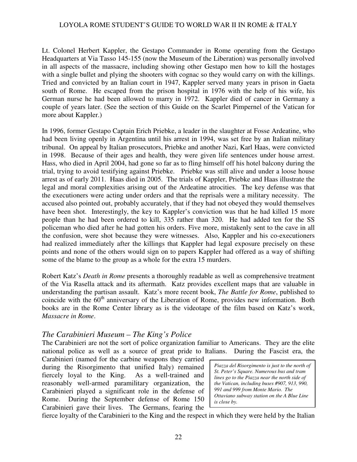Lt. Colonel Herbert Kappler, the Gestapo Commander in Rome operating from the Gestapo Headquarters at Via Tasso 145-155 (now the Museum of the Liberation) was personally involved in all aspects of the massacre, including showing other Gestapo men how to kill the hostages with a single bullet and plying the shooters with cognac so they would carry on with the killings. Tried and convicted by an Italian court in 1947, Kappler served many years in prison in Gaeta south of Rome. He escaped from the prison hospital in 1976 with the help of his wife, his German nurse he had been allowed to marry in 1972. Kappler died of cancer in Germany a couple of years later. (See the section of this Guide on the Scarlet Pimpernel of the Vatican for more about Kappler.)

In 1996, former Gestapo Captain Erich Priebke, a leader in the slaughter at Fosse Ardeatine, who had been living openly in Argentina until his arrest in 1994, was set free by an Italian military tribunal. On appeal by Italian prosecutors, Priebke and another Nazi, Karl Haas, were convicted in 1998. Because of their ages and health, they were given life sentences under house arrest. Hass, who died in April 2004, had gone so far as to fling himself off his hotel balcony during the trial, trying to avoid testifying against Priebke. Priebke was still alive and under a loose house arrest as of early 2011. Haas died in 2005. The trials of Kappler, Priebke and Haas illustrate the legal and moral complexities arising out of the Ardeatine atrocities. The key defense was that the executioners were acting under orders and that the reprisals were a military necessity. The accused also pointed out, probably accurately, that if they had not obeyed they would themselves have been shot. Interestingly, the key to Kappler's conviction was that he had killed 15 more people than he had been ordered to kill, 335 rather than 320. He had added ten for the SS policeman who died after he had gotten his orders. Five more, mistakenly sent to the cave in all the confusion, were shot because they were witnesses. Also, Kappler and his co-executioners had realized immediately after the killings that Kappler had legal exposure precisely on these points and none of the others would sign on to papers Kappler had offered as a way of shifting some of the blame to the group as a whole for the extra 15 murders.

Robert Katz's *Death in Rome* presents a thoroughly readable as well as comprehensive treatment of the Via Rasella attack and its aftermath. Katz provides excellent maps that are valuable in understanding the partisan assault. Katz's more recent book, *The Battle for Rome*, published to coincide with the  $60<sup>th</sup>$  anniversary of the Liberation of Rome, provides new information. Both books are in the Rome Center library as is the videotape of the film based on Katz's work, *Massacre in Rome*.

### *The Carabinieri Museum – The King's Police*

The Carabinieri are not the sort of police organization familiar to Americans. They are the elite national police as well as a source of great pride to Italians. During the Fascist era, the

Carabinieri (named for the carbine weapons they carried during the Risorgimento that unified Italy) remained fiercely loyal to the King. As a well-trained and reasonably well-armed paramilitary organization, the Carabinieri played a significant role in the defense of Rome. During the September defense of Rome 150 Carabinieri gave their lives. The Germans, fearing the

*Piazza del Risorgimento is just to the north of St. Peter's Square. Numerous bus and tram lines go to the Piazza near the north side of the Vatican, including buses #907, 913, 990, 991 and 999 from Monte Mario. The Ottaviano subway station on the A Blue Line is close by.* 

fierce loyalty of the Carabinieri to the King and the respect in which they were held by the Italian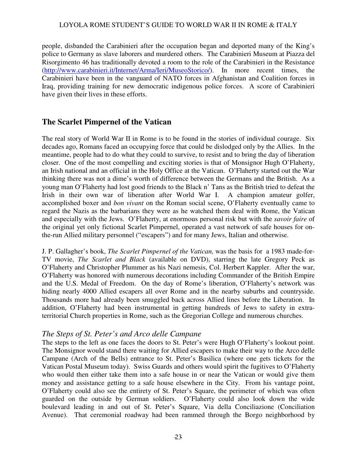people, disbanded the Carabinieri after the occupation began and deported many of the King's police to Germany as slave laborers and murdered others. The Carabinieri Museum at Piazza del Risorgimento 46 has traditionally devoted a room to the role of the Carabinieri in the Resistance (http://www.carabinieri.it/Internet/Arma/Ieri/MuseoStorico/). In more recent times, the Carabinieri have been in the vanguard of NATO forces in Afghanistan and Coalition forces in Iraq, providing training for new democratic indigenous police forces. A score of Carabinieri have given their lives in these efforts.

### **The Scarlet Pimpernel of the Vatican**

The real story of World War II in Rome is to be found in the stories of individual courage. Six decades ago, Romans faced an occupying force that could be dislodged only by the Allies. In the meantime, people had to do what they could to survive, to resist and to bring the day of liberation closer. One of the most compelling and exciting stories is that of Monsignor Hugh O'Flaherty, an Irish national and an official in the Holy Office at the Vatican. O'Flaherty started out the War thinking there was not a dime's worth of difference between the Germans and the British. As a young man O'Flaherty had lost good friends to the Black n' Tans as the British tried to defeat the Irish in their own war of liberation after World War I. A champion amateur golfer, accomplished boxer and *bon vivant* on the Roman social scene, O'Flaherty eventually came to regard the Nazis as the barbarians they were as he watched them deal with Rome, the Vatican and especially with the Jews. O'Flaherty, at enormous personal risk but with the *savoir faire* of the original yet only fictional Scarlet Pimpernel, operated a vast network of safe houses for onthe-run Allied military personnel ("escapers") and for many Jews, Italian and otherwise.

J. P. Gallagher's book, *The Scarlet Pimpernel of the Vatican,* was the basis for a 1983 made-for-TV movie, *The Scarlet and Black* (available on DVD), starring the late Gregory Peck as O'Flaherty and Christopher Plummer as his Nazi nemesis, Col. Herbert Kappler. After the war, O'Flaherty was honored with numerous decorations including Commander of the British Empire and the U.S. Medal of Freedom. On the day of Rome's liberation, O'Flaherty's network was hiding nearly 4000 Allied escapers all over Rome and in the nearby suburbs and countryside. Thousands more had already been smuggled back across Allied lines before the Liberation. In addition, O'Flaherty had been instrumental in getting hundreds of Jews to safety in extraterritorial Church properties in Rome, such as the Gregorian College and numerous churches.

### *The Steps of St. Peter's and Arco delle Campane*

The steps to the left as one faces the doors to St. Peter's were Hugh O'Flaherty's lookout point. The Monsignor would stand there waiting for Allied escapers to make their way to the Arco delle Campane (Arch of the Bells) entrance to St. Peter's Basilica (where one gets tickets for the Vatican Postal Museum today). Swiss Guards and others would spirit the fugitives to O'Flaherty who would then either take them into a safe house in or near the Vatican or would give them money and assistance getting to a safe house elsewhere in the City. From his vantage point, O'Flaherty could also see the entirety of St. Peter's Square, the perimeter of which was often guarded on the outside by German soldiers. O'Flaherty could also look down the wide boulevard leading in and out of St. Peter's Square, Via della Conciliazione (Conciliation Avenue). That ceremonial roadway had been rammed through the Borgo neighborhood by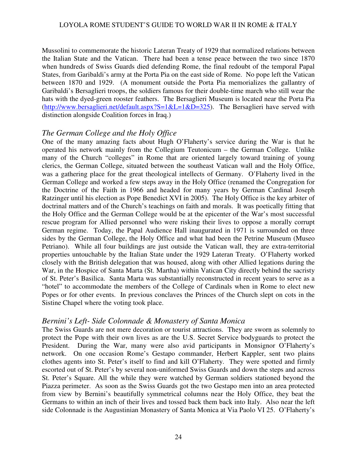Mussolini to commemorate the historic Lateran Treaty of 1929 that normalized relations between the Italian State and the Vatican. There had been a tense peace between the two since 1870 when hundreds of Swiss Guards died defending Rome, the final redoubt of the temporal Papal States, from Garibaldi's army at the Porta Pia on the east side of Rome. No pope left the Vatican between 1870 and 1929. (A monument outside the Porta Pia memorializes the gallantry of Garibaldi's Bersaglieri troops, the soldiers famous for their double-time march who still wear the hats with the dyed-green rooster feathers. The Bersaglieri Museum is located near the Porta Pia (http://www.bersaglieri.net/default.aspx?S=1&L=1&D=325). The Bersaglieri have served with distinction alongside Coalition forces in Iraq.)

### *The German College and the Holy Office*

One of the many amazing facts about Hugh O'Flaherty's service during the War is that he operated his network mainly from the Collegium Teutonicum – the German College. Unlike many of the Church "colleges" in Rome that are oriented largely toward training of young clerics, the German College, situated between the southeast Vatican wall and the Holy Office, was a gathering place for the great theological intellects of Germany. O'Flaherty lived in the German College and worked a few steps away in the Holy Office (renamed the Congregation for the Doctrine of the Faith in 1966 and headed for many years by German Cardinal Joseph Ratzinger until his election as Pope Benedict XVI in 2005). The Holy Office is the key arbiter of doctrinal matters and of the Church's teachings on faith and morals. It was poetically fitting that the Holy Office and the German College would be at the epicenter of the War's most successful rescue program for Allied personnel who were risking their lives to oppose a morally corrupt German regime. Today, the Papal Audience Hall inaugurated in 1971 is surrounded on three sides by the German College, the Holy Office and what had been the Petrine Museum (Museo Petriano). While all four buildings are just outside the Vatican wall, they are extra-territorial properties untouchable by the Italian State under the 1929 Lateran Treaty. O'Flaherty worked closely with the British delegation that was housed, along with other Allied legations during the War, in the Hospice of Santa Marta (St. Martha) within Vatican City directly behind the sacristy of St. Peter's Basilica. Santa Marta was substantially reconstructed in recent years to serve as a "hotel" to accommodate the members of the College of Cardinals when in Rome to elect new Popes or for other events. In previous conclaves the Princes of the Church slept on cots in the Sistine Chapel where the voting took place.

### *Bernini's Left- Side Colonnade & Monastery of Santa Monica*

The Swiss Guards are not mere decoration or tourist attractions. They are sworn as solemnly to protect the Pope with their own lives as are the U.S. Secret Service bodyguards to protect the President. During the War, many were also avid participants in Monsignor O'Flaherty's network. On one occasion Rome's Gestapo commander, Herbert Kappler, sent two plains clothes agents into St. Peter's itself to find and kill O'Flaherty. They were spotted and firmly escorted out of St. Peter's by several non-uniformed Swiss Guards and down the steps and across St. Peter's Square. All the while they were watched by German soldiers stationed beyond the Piazza perimeter. As soon as the Swiss Guards got the two Gestapo men into an area protected from view by Bernini's beautifully symmetrical columns near the Holy Office, they beat the Germans to within an inch of their lives and tossed back them back into Italy. Also near the left side Colonnade is the Augustinian Monastery of Santa Monica at Via Paolo VI 25. O'Flaherty's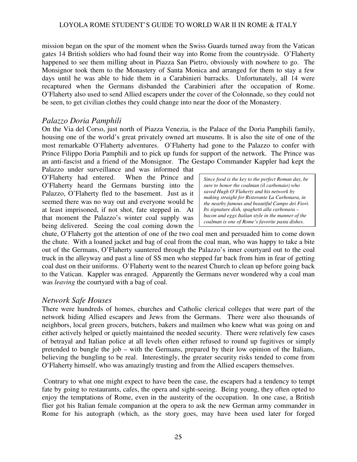mission began on the spur of the moment when the Swiss Guards turned away from the Vatican gates 14 British soldiers who had found their way into Rome from the countryside. O'Flaherty happened to see them milling about in Piazza San Pietro, obviously with nowhere to go. The Monsignor took them to the Monastery of Santa Monica and arranged for them to stay a few days until he was able to hide them in a Carabinieri barracks. Unfortunately, all 14 were recaptured when the Germans disbanded the Carabinieri after the occupation of Rome. O'Flaherty also used to send Allied escapers under the cover of the Colonnade, so they could not be seen, to get civilian clothes they could change into near the door of the Monastery.

### *Palazzo Doria Pamphili*

On the Via del Corso, just north of Piazza Venezia, is the Palace of the Doria Pamphili family, housing one of the world's great privately owned art museums. It is also the site of one of the most remarkable O'Flaherty adventures. O'Flaherty had gone to the Palazzo to confer with Prince Filippo Doria Pamphili and to pick up funds for support of the network. The Prince was an anti-fascist and a friend of the Monsignor. The Gestapo Commander Kappler had kept the

Palazzo under surveillance and was informed that O'Flaherty had entered. When the Prince and O'Flaherty heard the Germans bursting into the Palazzo, O'Flaherty fled to the basement. Just as it seemed there was no way out and everyone would be at least imprisoned, if not shot, fate stepped in. At that moment the Palazzo's winter coal supply was being delivered. Seeing the coal coming down the

*Since food is the key to the perfect Roman day, be sure to honor the coalman (il carbonaio) who saved Hugh O'Flaherty and his network by making straight for Ristorante La Carbonara, in the nearby famous and beautiful Campo dei Fiori. Its signature dish, spaghetti alla carbonara – bacon and eggs Italian style in the manner of the coalman is one of Rome's favorite pasta dishes.*

chute, O'Flaherty got the attention of one of the two coal men and persuaded him to come down the chute. With a loaned jacket and bag of coal from the coal man, who was happy to take a bite out of the Germans, O'Flaherty sauntered through the Palazzo's inner courtyard out to the coal truck in the alleyway and past a line of SS men who stepped far back from him in fear of getting coal dust on their uniforms. O'Flaherty went to the nearest Church to clean up before going back to the Vatican. Kappler was enraged. Apparently the Germans never wondered why a coal man was *leaving* the courtyard with a bag of coal.

### *Network Safe Houses*

There were hundreds of homes, churches and Catholic clerical colleges that were part of the network hiding Allied escapers and Jews from the Germans. There were also thousands of neighbors, local green grocers, butchers, bakers and mailmen who knew what was going on and either actively helped or quietly maintained the needed security. There were relatively few cases of betrayal and Italian police at all levels often either refused to round up fugitives or simply pretended to bungle the job – with the Germans, prepared by their low opinion of the Italians, believing the bungling to be real. Interestingly, the greater security risks tended to come from O'Flaherty himself, who was amazingly trusting and from the Allied escapers themselves.

 Contrary to what one might expect to have been the case, the escapers had a tendency to tempt fate by going to restaurants, cafes, the opera and sight-seeing. Being young, they often opted to enjoy the temptations of Rome, even in the austerity of the occupation. In one case, a British flier got his Italian female companion at the opera to ask the new German army commander in Rome for his autograph (which, as the story goes, may have been used later for forged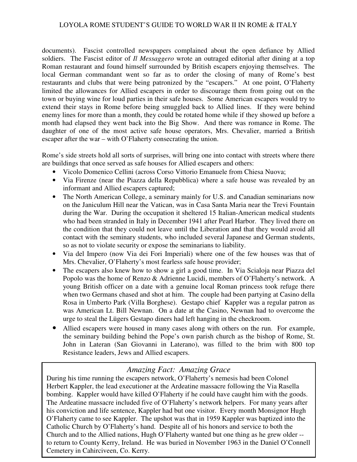documents). Fascist controlled newspapers complained about the open defiance by Allied soldiers. The Fascist editor of *Il Messaggero* wrote an outraged editorial after dining at a top Roman restaurant and found himself surrounded by British escapers enjoying themselves. The local German commandant went so far as to order the closing of many of Rome's best restaurants and clubs that were being patronized by the "escapers." At one point, O'Flaherty limited the allowances for Allied escapers in order to discourage them from going out on the town or buying wine for loud parties in their safe houses. Some American escapers would try to extend their stays in Rome before being smuggled back to Allied lines. If they were behind enemy lines for more than a month, they could be rotated home while if they showed up before a month had elapsed they went back into the Big Show. And there was romance in Rome. The daughter of one of the most active safe house operators, Mrs. Chevalier, married a British escaper after the war – with O'Flaherty consecrating the union.

Rome's side streets hold all sorts of surprises, will bring one into contact with streets where there are buildings that once served as safe houses for Allied escapers and others:

- Vicolo Domenico Cellini (across Corso Vittorio Emanuele from Chiesa Nuova;
- Via Firenze (near the Piazza della Repubblica) where a safe house was revealed by an informant and Allied escapers captured;
- The North American College, a seminary mainly for U.S. and Canadian seminarians now on the Janiculum Hill near the Vatican, was in Casa Santa Maria near the Trevi Fountain during the War. During the occupation it sheltered 15 Italian-American medical students who had been stranded in Italy in December 1941 after Pearl Harbor. They lived there on the condition that they could not leave until the Liberation and that they would avoid all contact with the seminary students, who included several Japanese and German students, so as not to violate security or expose the seminarians to liability.
- Via del Impero (now Via dei Fori Imperiali) where one of the few houses was that of Mrs. Chevalier, O'Flaherty's most fearless safe house provider;
- The escapers also knew how to show a girl a good time. In Via Scialoja near Piazza del Popolo was the home of Renzo & Adrienne Lucidi, members of O'Flaherty's network. A young British officer on a date with a genuine local Roman princess took refuge there when two Germans chased and shot at him. The couple had been partying at Casino della Rosa in Umberto Park (Villa Borghese). Gestapo chief Kappler was a regular patron as was American Lt. Bill Newnan. On a date at the Casino, Newnan had to overcome the urge to steal the Lügers Gestapo diners had left hanging in the checkroom.
- Allied escapers were housed in many cases along with others on the run. For example, the seminary building behind the Pope's own parish church as the bishop of Rome, St. John in Lateran (San Giovanni in Laterano), was filled to the brim with 800 top Resistance leaders, Jews and Allied escapers.

# *Amazing Fact: Amazing Grace*

26 Church and to the Allied nations, Hugh O'Flaherty wanted but one thing as he grew older -- During his time running the escapers network, O'Flaherty's nemesis had been Colonel Herbert Kappler, the lead executioner at the Ardeatine massacre following the Via Rasella bombing. Kappler would have killed O'Flaherty if he could have caught him with the goods. The Ardeatine massacre included five of O'Flaherty's network helpers. For many years after his conviction and life sentence, Kappler had but one visitor. Every month Monsignor Hugh O'Flaherty came to see Kappler. The upshot was that in 1959 Kappler was baptized into the Catholic Church by O'Flaherty's hand. Despite all of his honors and service to both the to return to County Kerry, Ireland. He was buried in November 1963 in the Daniel O'Connell Cemetery in Cahirciveen, Co. Kerry.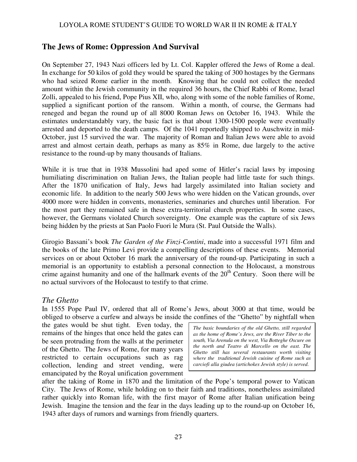# **The Jews of Rome: Oppression And Survival**

On September 27, 1943 Nazi officers led by Lt. Col. Kappler offered the Jews of Rome a deal. In exchange for 50 kilos of gold they would be spared the taking of 300 hostages by the Germans who had seized Rome earlier in the month. Knowing that he could not collect the needed amount within the Jewish community in the required 36 hours, the Chief Rabbi of Rome, Israel Zolli, appealed to his friend, Pope Pius XII, who, along with some of the noble families of Rome, supplied a significant portion of the ransom. Within a month, of course, the Germans had reneged and began the round up of all 8000 Roman Jews on October 16, 1943. While the estimates understandably vary, the basic fact is that about 1300-1500 people were eventually arrested and deported to the death camps. Of the 1041 reportedly shipped to Auschwitz in mid-October, just 15 survived the war. The majority of Roman and Italian Jews were able to avoid arrest and almost certain death, perhaps as many as 85% in Rome, due largely to the active resistance to the round-up by many thousands of Italians.

While it is true that in 1938 Mussolini had aped some of Hitler's racial laws by imposing humiliating discrimination on Italian Jews, the Italian people had little taste for such things. After the 1870 unification of Italy, Jews had largely assimilated into Italian society and economic life. In addition to the nearly 500 Jews who were hidden on the Vatican grounds, over 4000 more were hidden in convents, monasteries, seminaries and churches until liberation. For the most part they remained safe in these extra-territorial church properties. In some cases, however, the Germans violated Church sovereignty. One example was the capture of six Jews being hidden by the priests at San Paolo Fuori le Mura (St. Paul Outside the Walls).

Girogio Bassani's book *The Garden of the Finzi-Contini*, made into a successful 1971 film and the books of the late Primo Levi provide a compelling descriptions of these events. Memorial services on or about October 16 mark the anniversary of the round-up. Participating in such a memorial is an opportunity to establish a personal connection to the Holocaust, a monstrous crime against humanity and one of the hallmark events of the  $20<sup>th</sup>$  Century. Soon there will be no actual survivors of the Holocaust to testify to that crime.

### *The Ghetto*

In 1555 Pope Paul IV, ordered that all of Rome's Jews, about 3000 at that time, would be obliged to observe a curfew and always be inside the confines of the "Ghetto" by nightfall when

the gates would be shut tight. Even today, the remains of the hinges that once held the gates can be seen protruding from the walls at the perimeter of the Ghetto. The Jews of Rome, for many years restricted to certain occupations such as rag collection, lending and street vending, were emancipated by the Royal unification government

*The basic boundaries of the old Ghetto, still regarded as the home of Rome's Jews, are the River Tiber to the south, Via Arenula on the west, Via Botteghe Oscure on the north and Teatro di Marcello on the east. The Ghetto still has several restaurants worth visiting where the traditional Jewish cuisine of Rome such as carciofi alla giudea (artichokes Jewish style) is served.* 

after the taking of Rome in 1870 and the limitation of the Pope's temporal power to Vatican City. The Jews of Rome, while holding on to their faith and traditions, nonetheless assimilated rather quickly into Roman life, with the first mayor of Rome after Italian unification being Jewish. Imagine the tension and the fear in the days leading up to the round-up on October 16, 1943 after days of rumors and warnings from friendly quarters.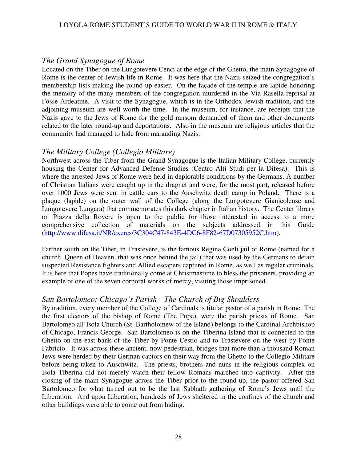### *The Grand Synagogue of Rome*

Located on the Tiber on the Lungotevere Cenci at the edge of the Ghetto, the main Synagogue of Rome is the center of Jewish life in Rome. It was here that the Nazis seized the congregation's membership lists making the round-up easier. On the façade of the temple are lapide honoring the memory of the many members of the congregation murdered in the Via Rasella reprisal at Fosse Ardeatine. A visit to the Synagogue, which is in the Orthodox Jewish tradition, and the adjoining museum are well worth the time. In the museum, for instance, are receipts that the Nazis gave to the Jews of Rome for the gold ransom demanded of them and other documents related to the later round-up and deportations. Also in the museum are religious articles that the community had managed to hide from marauding Nazis.

### *The Military College (Collegio Militare)*

Northwest across the Tiber from the Grand Synagogue is the Italian Military College, currently housing the Center for Advanced Defense Studies (Centro Alti Studi per la Difesa). This is where the arrested Jews of Rome were held in deplorable conditions by the Germans. A number of Christian Italians were caught up in the dragnet and were, for the most part, released before over 1000 Jews were sent in cattle cars to the Auschwitz death camp in Poland. There is a plaque (lapide) on the outer wall of the College (along the Lungotevere Gianicolense and Lungotevere Lungara) that commemorates this dark chapter in Italian history. The Center library on Piazza della Rovere is open to the public for those interested in access to a more comprehensive collection of materials on the subjects addressed in this Guide (http://www.difesa.it/NR/exeres/3C304C47-843E-4DC6-8F82-67D07305952C.htm).

Farther south on the Tiber, in Trastevere, is the famous Regina Coeli jail of Rome (named for a church, Queen of Heaven, that was once behind the jail) that was used by the Germans to detain suspected Resistance fighters and Allied escapers captured in Rome, as well as regular criminals. It is here that Popes have traditionally come at Christmastime to bless the prisoners, providing an example of one of the seven corporal works of mercy, visiting those imprisoned.

### *San Bartolomeo: Chicago's Parish—The Church of Big Shoulders*

By tradition, every member of the College of Cardinals is titular pastor of a parish in Rome. The the first electors of the bishop of Rome (The Pope), were the parish priests of Rome. San Bartolomeo all'Isola Church (St. Bartholomew of the Island) belongs to the Cardinal Archbishop of Chicago, Francis George. San Bartolomeo is on the Tiberina Island that is connected to the Ghetto on the east bank of the Tiber by Ponte Cestio and to Trastevere on the west by Ponte Fabricio. It was across these ancient, now pedestrian, bridges that more than a thousand Roman Jews were herded by their German captors on their way from the Ghetto to the Collegio Militare before being taken to Auschwitz. The priests, brothers and nuns in the religious complex on Isola Tiberina did not merely watch their fellow Romans marched into captivity. After the closing of the main Synagogue across the Tiber prior to the round-up, the pastor offered San Bartolomeo for what turned out to be the last Sabbath gathering of Rome's Jews until the Liberation. And upon Liberation, hundreds of Jews sheltered in the confines of the church and other buildings were able to come out from hiding.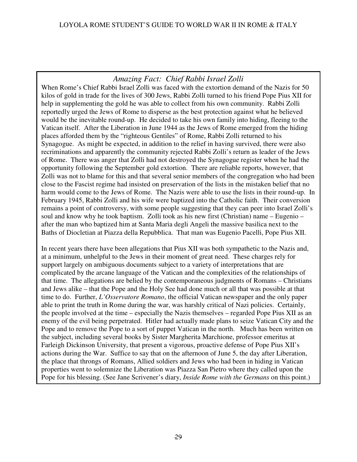# *Amazing Fact: Chief Rabbi Israel Zolli*

When Rome's Chief Rabbi Israel Zolli was faced with the extortion demand of the Nazis for 50 kilos of gold in trade for the lives of 300 Jews, Rabbi Zolli turned to his friend Pope Pius XII for help in supplementing the gold he was able to collect from his own community. Rabbi Zolli reportedly urged the Jews of Rome to disperse as the best protection against what he believed would be the inevitable round-up. He decided to take his own family into hiding, fleeing to the Vatican itself. After the Liberation in June 1944 as the Jews of Rome emerged from the hiding places afforded them by the "righteous Gentiles" of Rome, Rabbi Zolli returned to his Synagogue. As might be expected, in addition to the relief in having survived, there were also recriminations and apparently the community rejected Rabbi Zolli's return as leader of the Jews of Rome. There was anger that Zolli had not destroyed the Synagogue register when he had the opportunity following the September gold extortion. There are reliable reports, however, that Zolli was not to blame for this and that several senior members of the congregation who had been close to the Fascist regime had insisted on preservation of the lists in the mistaken belief that no harm would come to the Jews of Rome. The Nazis were able to use the lists in their round-up. In February 1945, Rabbi Zolli and his wife were baptized into the Catholic faith. Their conversion remains a point of controversy, with some people suggesting that they can peer into Israel Zolli's soul and know why he took baptism. Zolli took as his new first (Christian) name – Eugenio – after the man who baptized him at Santa Maria degli Angeli the massive basilica next to the Baths of Diocletian at Piazza della Repubblica. That man was Eugenio Pacelli, Pope Pius XII.

In recent years there have been allegations that Pius XII was both sympathetic to the Nazis and, at a minimum, unhelpful to the Jews in their moment of great need. These charges rely for support largely on ambiguous documents subject to a variety of interpretations that are complicated by the arcane language of the Vatican and the complexities of the relationships of that time. The allegations are belied by the contemporaneous judgments of Romans – Christians and Jews alike – that the Pope and the Holy See had done much or all that was possible at that time to do. Further, *L'Osservatore Romano*, the official Vatican newspaper and the only paper able to print the truth in Rome during the war, was harshly critical of Nazi policies. Certainly, the people involved at the time – especially the Nazis themselves – regarded Pope Pius XII as an enemy of the evil being perpetrated. Hitler had actually made plans to seize Vatican City and the Pope and to remove the Pope to a sort of puppet Vatican in the north. Much has been written on the subject, including several books by Sister Margherita Marchione, professor emeritus at Farleigh Dickinson University, that present a vigorous, proactive defense of Pope Pius XII's actions during the War. Suffice to say that on the afternoon of June 5, the day after Liberation, the place that throngs of Romans, Allied soldiers and Jews who had been in hiding in Vatican properties went to solemnize the Liberation was Piazza San Pietro where they called upon the Pope for his blessing. (See Jane Scrivener's diary, *Inside Rome with the Germans* on this point.)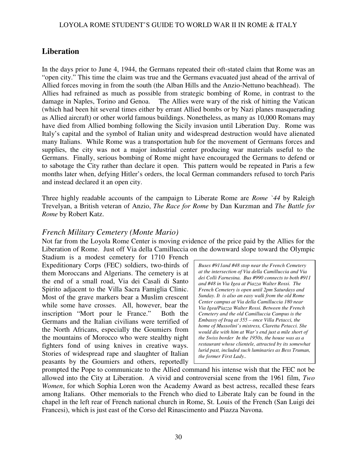# **Liberation**

In the days prior to June 4, 1944, the Germans repeated their oft-stated claim that Rome was an "open city." This time the claim was true and the Germans evacuated just ahead of the arrival of Allied forces moving in from the south (the Alban Hills and the Anzio-Nettuno beachhead). The Allies had refrained as much as possible from strategic bombing of Rome, in contrast to the damage in Naples, Torino and Genoa. The Allies were wary of the risk of hitting the Vatican (which had been hit several times either by errant Allied bombs or by Nazi planes masquerading as Allied aircraft) or other world famous buildings. Nonetheless, as many as 10,000 Romans may have died from Allied bombing following the Sicily invasion until Liberation Day. Rome was Italy's capital and the symbol of Italian unity and widespread destruction would have alienated many Italians. While Rome was a transportation hub for the movement of Germans forces and supplies, the city was not a major industrial center producing war materials useful to the Germans. Finally, serious bombing of Rome might have encouraged the Germans to defend or to sabotage the City rather than declare it open. This pattern would be repeated in Paris a few months later when, defying Hitler's orders, the local German commanders refused to torch Paris and instead declared it an open city.

Three highly readable accounts of the campaign to Liberate Rome are *Rome `44* by Raleigh Trevelyan, a British veteran of Anzio, *The Race for Rome* by Dan Kurzman and *The Battle for Rome* by Robert Katz.

# *French Military Cemetery (Monte Mario)*

Not far from the Loyola Rome Center is moving evidence of the price paid by the Allies for the Liberation of Rome. Just off Via della Camilluccia on the downward slope toward the Olympic

Stadium is a modest cemetery for 1710 French Expeditionary Corps (FEC) soldiers, two-thirds of them Moroccans and Algerians. The cemetery is at the end of a small road, Via dei Casali di Santo Spirito adjacent to the Villa Sacra Famiglia Clinic. Most of the grave markers bear a Muslim crescent while some have crosses. All, however, bear the inscription "Mort pour le France." Both the Germans and the Italian civilians were terrified of the North Africans, especially the Goumiers from the mountains of Morocco who were stealthy night fighters fond of using knives in creative ways. Stories of widespread rape and slaughter of Italian peasants by the Goumiers and others, reportedly

*Buses #911and #48 stop near the French Cemetery at the intersection of Via della Camilluccia and Via dei Colli Farnesina. Bus #990 connects to both #911 and #48 in Via Igea at Piazza Walter Rossi. The French Cemetery is open until 2pm Saturdays and Sunday. It is also an easy walk from the old Rome Center campus at Via della Camilluccia 180 near Via Igea/Piazza Walter Rossi. Between the French Cemetery and the old Camilluccia Campus is the Embassy of Iraq at 355 – once Villa Petacci, the home of Mussolini's mistress, Claretta Petacci. She would die with him at War's end just a mile short of the Swiss border In the 1950s, the house was as a restaurant whose clientele, attracted by its somewhat lurid past, included such luminaries as Bess Truman, the former First Lady..* 

prompted the Pope to communicate to the Allied command his intense wish that the FEC not be allowed into the City at Liberation. A vivid and controversial scene from the 1961 film, *Two Women*, for which Sophia Loren won the Academy Award as best actress, recalled these fears among Italians. Other memorials to the French who died to Liberate Italy can be found in the chapel in the left rear of French national church in Rome, St. Louis of the French (San Luigi dei Francesi), which is just east of the Corso del Rinascimento and Piazza Navona.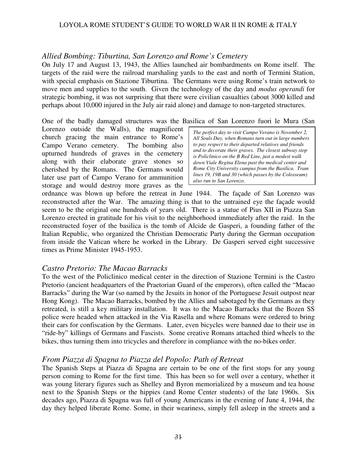### *Allied Bombing: Tiburtina, San Lorenzo and Rome's Cemetery*

On July 17 and August 13, 1943, the Allies launched air bombardments on Rome itself. The targets of the raid were the railroad marshaling yards to the east and north of Termini Station, with special emphasis on Stazione Tiburtina. The Germans were using Rome's train network to move men and supplies to the south. Given the technology of the day and *modus operandi* for strategic bombing, it was not surprising that there were civilian casualties (about 3000 killed and perhaps about 10,000 injured in the July air raid alone) and damage to non-targeted structures.

#### One of the badly damaged structures was the Basilica of San Lorenzo fuori le Mura (San

Lorenzo outside the Walls), the magnificent church gracing the main entrance to Rome's Campo Verano cemetery. The bombing also upturned hundreds of graves in the cemetery along with their elaborate grave stones so cherished by the Romans. The Germans would later use part of Campo Verano for ammunition storage and would destroy more graves as the

*The perfect day to visit Campo Verano is November 2, All Souls Day, when Romans turn out in large numbers to pay respect to their departed relatives and friends and to decorate their graves. The closest subway stop is Policlinico on the B Red Line, just a modest walk down Viale Regina Elena past the medical center and Rome City University campus from the Basilica. Tram lines 19, 19B and 30 (which passes by the Colosseum) also run to San Lorenzo.*

ordnance was blown up before the retreat in June 1944. The façade of San Lorenzo was reconstructed after the War. The amazing thing is that to the untrained eye the façade would seem to be the original one hundreds of years old. There is a statue of Pius XII in Piazza San Lorenzo erected in gratitude for his visit to the neighborhood immediately after the raid. In the reconstructed foyer of the basilica is the tomb of Alcide de Gasperi, a founding father of the Italian Republic, who organized the Christian Democratic Party during the German occupation from inside the Vatican where he worked in the Library. De Gasperi served eight successive times as Prime Minister 1945-1953.

### *Castro Pretorio: The Macao Barracks*

To the west of the Policlinico medical center in the direction of Stazione Termini is the Castro Pretorio (ancient headquarters of the Praetorian Guard of the emperors), often called the "Macao Barracks" during the War (so named by the Jesuits in honor of the Portuguese Jesuit outpost near Hong Kong). The Macao Barracks, bombed by the Allies and sabotaged by the Germans as they retreated, is still a key military installation. It was to the Macao Barracks that the Bozen SS police were headed when attacked in the Via Rasella and where Romans were ordered to bring their cars for confiscation by the Germans. Later, even bicycles were banned due to their use in "ride-by" killings of Germans and Fascists. Some creative Romans attached third wheels to the bikes, thus turning them into tricycles and therefore in compliance with the no-bikes order.

### *From Piazza di Spagna to Piazza del Popolo: Path of Retreat*

The Spanish Steps at Piazza di Spagna are certain to be one of the first stops for any young person coming to Rome for the first time. This has been so for well over a century, whether it was young literary figures such as Shelley and Byron memorialized by a museum and tea house next to the Spanish Steps or the hippies (and Rome Center students) of the late 1960s. Six decades ago, Piazza di Spagna was full of young Americans in the evening of June 4, 1944, the day they helped liberate Rome. Some, in their weariness, simply fell asleep in the streets and a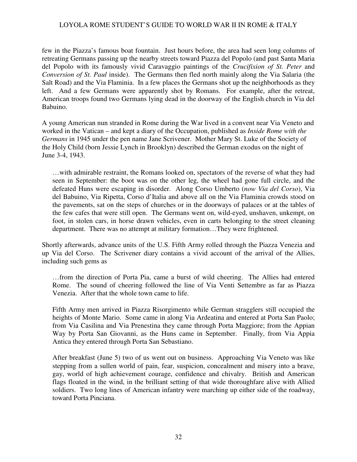few in the Piazza's famous boat fountain. Just hours before, the area had seen long columns of retreating Germans passing up the nearby streets toward Piazza del Popolo (and past Santa Maria del Popolo with its famously vivid Caravaggio paintings of the *Crucifixion of St. Peter* and *Conversion of St. Paul* inside). The Germans then fled north mainly along the Via Salaria (the Salt Road) and the Via Flaminia. In a few places the Germans shot up the neighborhoods as they left. And a few Germans were apparently shot by Romans. For example, after the retreat, American troops found two Germans lying dead in the doorway of the English church in Via del Babuino.

A young American nun stranded in Rome during the War lived in a convent near Via Veneto and worked in the Vatican – and kept a diary of the Occupation, published as *Inside Rome with the Germans* in 1945 under the pen name Jane Scrivener. Mother Mary St. Luke of the Society of the Holy Child (born Jessie Lynch in Brooklyn) described the German exodus on the night of June 3-4, 1943.

…with admirable restraint, the Romans looked on, spectators of the reverse of what they had seen in September: the boot was on the other leg, the wheel had gone full circle, and the defeated Huns were escaping in disorder. Along Corso Umberto (*now Via del Corso*), Via del Babuino, Via Ripetta, Corso d'Italia and above all on the Via Flaminia crowds stood on the pavements, sat on the steps of churches or in the doorways of palaces or at the tables of the few cafes that were still open. The Germans went on, wild-eyed, unshaven, unkempt, on foot, in stolen cars, in horse drawn vehicles, even in carts belonging to the street cleaning department. There was no attempt at military formation…They were frightened.

Shortly afterwards, advance units of the U.S. Fifth Army rolled through the Piazza Venezia and up Via del Corso. The Scrivener diary contains a vivid account of the arrival of the Allies, including such gems as

…from the direction of Porta Pia, came a burst of wild cheering. The Allies had entered Rome. The sound of cheering followed the line of Via Venti Settembre as far as Piazza Venezia. After that the whole town came to life.

Fifth Army men arrived in Piazza Risorgimento while German stragglers still occupied the heights of Monte Mario. Some came in along Via Ardeatina and entered at Porta San Paolo; from Via Casilina and Via Prenestina they came through Porta Maggiore; from the Appian Way by Porta San Giovanni, as the Huns came in September. Finally, from Via Appia Antica they entered through Porta San Sebastiano.

After breakfast (June 5) two of us went out on business. Approaching Via Veneto was like stepping from a sullen world of pain, fear, suspicion, concealment and misery into a brave, gay, world of high achievement courage, confidence and chivalry. British and American flags floated in the wind, in the brilliant setting of that wide thoroughfare alive with Allied soldiers. Two long lines of American infantry were marching up either side of the roadway, toward Porta Pinciana.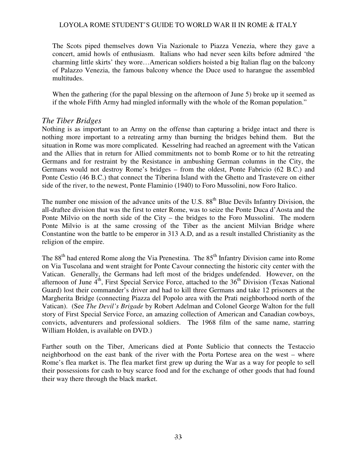The Scots piped themselves down Via Nazionale to Piazza Venezia, where they gave a concert, amid howls of enthusiasm. Italians who had never seen kilts before admired 'the charming little skirts' they wore…American soldiers hoisted a big Italian flag on the balcony of Palazzo Venezia, the famous balcony whence the Duce used to harangue the assembled multitudes.

When the gathering (for the papal blessing on the afternoon of June 5) broke up it seemed as if the whole Fifth Army had mingled informally with the whole of the Roman population."

### *The Tiber Bridges*

Nothing is as important to an Army on the offense than capturing a bridge intact and there is nothing more important to a retreating army than burning the bridges behind them. But the situation in Rome was more complicated. Kesselring had reached an agreement with the Vatican and the Allies that in return for Allied commitments not to bomb Rome or to hit the retreating Germans and for restraint by the Resistance in ambushing German columns in the City, the Germans would not destroy Rome's bridges – from the oldest, Ponte Fabricio (62 B.C.) and Ponte Cestio (46 B.C.) that connect the Tiberina Island with the Ghetto and Trastevere on either side of the river, to the newest, Ponte Flaminio (1940) to Foro Mussolini, now Foro Italico.

The number one mission of the advance units of the U.S. 88<sup>th</sup> Blue Devils Infantry Division, the all-draftee division that was the first to enter Rome, was to seize the Ponte Duca d'Aosta and the Ponte Milvio on the north side of the City – the bridges to the Foro Mussolini. The modern Ponte Milvio is at the same crossing of the Tiber as the ancient Milvian Bridge where Constantine won the battle to be emperor in 313 A.D, and as a result installed Christianity as the religion of the empire.

The 88<sup>th</sup> had entered Rome along the Via Prenestina. The 85<sup>th</sup> Infantry Division came into Rome on Via Tuscolana and went straight for Ponte Cavour connecting the historic city center with the Vatican. Generally, the Germans had left most of the bridges undefended. However, on the afternoon of June  $4<sup>th</sup>$ , First Special Service Force, attached to the  $36<sup>th</sup>$  Division (Texas National Guard) lost their commander's driver and had to kill three Germans and take 12 prisoners at the Margherita Bridge (connecting Piazza del Popolo area with the Prati neighborhood north of the Vatican). (See *The Devil's Brigade* by Robert Adelman and Colonel George Walton for the full story of First Special Service Force, an amazing collection of American and Canadian cowboys, convicts, adventurers and professional soldiers. The 1968 film of the same name, starring William Holden, is available on DVD.)

Farther south on the Tiber, Americans died at Ponte Sublicio that connects the Testaccio neighborhood on the east bank of the river with the Porta Portese area on the west – where Rome's flea market is. The flea market first grew up during the War as a way for people to sell their possessions for cash to buy scarce food and for the exchange of other goods that had found their way there through the black market.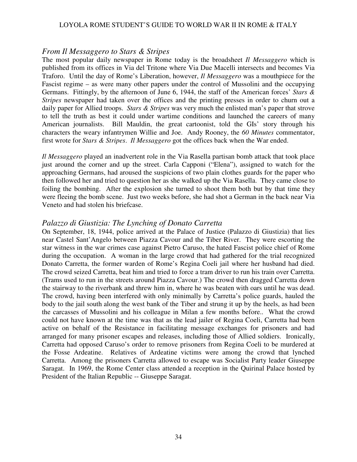#### *From Il Messaggero to Stars & Stripes*

The most popular daily newspaper in Rome today is the broadsheet *Il Messaggero* which is published from its offices in Via del Tritone where Via Due Macelli intersects and becomes Via Traforo. Until the day of Rome's Liberation, however, *Il Messaggero* was a mouthpiece for the Fascist regime – as were many other papers under the control of Mussolini and the occupying Germans. Fittingly, by the afternoon of June 6, 1944, the staff of the American forces' *Stars & Stripes* newspaper had taken over the offices and the printing presses in order to churn out a daily paper for Allied troops. *Stars & Stripes* was very much the enlisted man's paper that strove to tell the truth as best it could under wartime conditions and launched the careers of many American journalists. Bill Mauldin, the great cartoonist, told the GIs' story through his characters the weary infantrymen Willie and Joe. Andy Rooney, the *60 Minutes* commentator, first wrote for *Stars & Stripes*. *Il Messaggero* got the offices back when the War ended.

*Il Messaggero* played an inadvertent role in the Via Rasella partisan bomb attack that took place just around the corner and up the street. Carla Capponi ("Elena"), assigned to watch for the approaching Germans, had aroused the suspicions of two plain clothes guards for the paper who then followed her and tried to question her as she walked up the Via Rasella. They came close to foiling the bombing. After the explosion she turned to shoot them both but by that time they were fleeing the bomb scene. Just two weeks before, she had shot a German in the back near Via Veneto and had stolen his briefcase.

### *Palazzo di Giustizia: The Lynching of Donato Carretta*

On September, 18, 1944, police arrived at the Palace of Justice (Palazzo di Giustizia) that lies near Castel Sant'Angelo between Piazza Cavour and the Tiber River. They were escorting the star witness in the war crimes case against Pietro Caruso, the hated Fascist police chief of Rome during the occupation. A woman in the large crowd that had gathered for the trial recognized Donato Carretta, the former warden of Rome's Regina Coeli jail where her husband had died. The crowd seized Carretta, beat him and tried to force a tram driver to run his train over Carretta. (Trams used to run in the streets around Piazza Cavour.) The crowd then dragged Carretta down the stairway to the riverbank and threw him in, where he was beaten with oars until he was dead. The crowd, having been interfered with only minimally by Carretta's police guards, hauled the body to the jail south along the west bank of the Tiber and strung it up by the heels, as had been the carcasses of Mussolini and his colleague in Milan a few months before.. What the crowd could not have known at the time was that as the lead jailer of Regina Coeli, Carretta had been active on behalf of the Resistance in facilitating message exchanges for prisoners and had arranged for many prisoner escapes and releases, including those of Allied soldiers. Ironically, Carretta had opposed Caruso's order to remove prisoners from Regina Coeli to be murdered at the Fosse Ardeatine. Relatives of Ardeatine victims were among the crowd that lynched Carretta. Among the prisoners Carretta allowed to escape was Socialist Party leader Giuseppe Saragat. In 1969, the Rome Center class attended a reception in the Quirinal Palace hosted by President of the Italian Republic -- Giuseppe Saragat.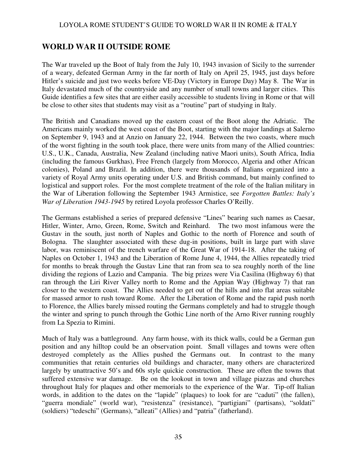# **WORLD WAR II OUTSIDE ROME**

The War traveled up the Boot of Italy from the July 10, 1943 invasion of Sicily to the surrender of a weary, defeated German Army in the far north of Italy on April 25, 1945, just days before Hitler's suicide and just two weeks before VE-Day (Victory in Europe Day) May 8. The War in Italy devastated much of the countryside and any number of small towns and larger cities. This Guide identifies a few sites that are either easily accessible to students living in Rome or that will be close to other sites that students may visit as a "routine" part of studying in Italy.

The British and Canadians moved up the eastern coast of the Boot along the Adriatic. The Americans mainly worked the west coast of the Boot, starting with the major landings at Salerno on September 9, 1943 and at Anzio on January 22, 1944. Between the two coasts, where much of the worst fighting in the south took place, there were units from many of the Allied countries: U.S., U.K., Canada, Australia, New Zealand (including native Maori units), South Africa, India (including the famous Gurkhas), Free French (largely from Morocco, Algeria and other African colonies), Poland and Brazil. In addition, there were thousands of Italians organized into a variety of Royal Army units operating under U.S. and British command, but mainly confined to logistical and support roles. For the most complete treatment of the role of the Italian military in the War of Liberation following the September 1943 Armistice, see *Forgotten Battles: Italy's War of Liberation 1943-1945* by retired Loyola professor Charles O'Reilly.

The Germans established a series of prepared defensive "Lines" bearing such names as Caesar, Hitler, Winter, Arno, Green, Rome, Switch and Reinhard. The two most infamous were the Gustav in the south, just north of Naples and Gothic to the north of Florence and south of Bologna. The slaughter associated with these dug-in positions, built in large part with slave labor, was reminiscent of the trench warfare of the Great War of 1914-18. After the taking of Naples on October 1, 1943 and the Liberation of Rome June 4, 1944, the Allies repeatedly tried for months to break through the Gustav Line that ran from sea to sea roughly north of the line dividing the regions of Lazio and Campania. The big prizes were Via Casilina (Highway 6) that ran through the Liri River Valley north to Rome and the Appian Way (Highway 7) that ran closer to the western coast. The Allies needed to get out of the hills and into flat areas suitable for massed armor to rush toward Rome. After the Liberation of Rome and the rapid push north to Florence, the Allies barely missed routing the Germans completely and had to struggle though the winter and spring to punch through the Gothic Line north of the Arno River running roughly from La Spezia to Rimini.

Much of Italy was a battleground. Any farm house, with its thick walls, could be a German gun position and any hilltop could be an observation point. Small villages and towns were often destroyed completely as the Allies pushed the Germans out. In contrast to the many communities that retain centuries old buildings and character, many others are characterized largely by unattractive 50's and 60s style quickie construction. These are often the towns that suffered extensive war damage. Be on the lookout in town and village piazzas and churches throughout Italy for plaques and other memorials to the experience of the War. Tip-off Italian words, in addition to the dates on the "lapide" (plaques) to look for are "caduti" (the fallen), "guerra mondiale" (world war), "resistenza" (resistance), "partigiani" (partisans), "soldati" (soldiers) "tedeschi" (Germans), "alleati" (Allies) and "patria" (fatherland).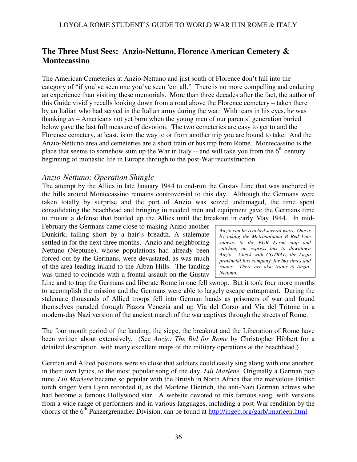# **The Three Must Sees: Anzio-Nettuno, Florence American Cemetery & Montecassino**

The American Cemeteries at Anzio-Nettuno and just south of Florence don't fall into the category of "if you've seen one you've seen 'em all." There is no more compelling and enduring an experience than visiting these memorials. More than three decades after the fact, the author of this Guide vividly recalls looking down from a road above the Florence cemetery – taken there by an Italian who had served in the Italian army during the war. With tears in his eyes, h*e* was thanking *us* – Americans not yet born when the young men of our parents' generation buried below gave the last full measure of devotion. The two cemeteries are easy to get to and the Florence cemetery, at least, is on the way to or from another trip you are bound to take. And the Anzio-Nettuno area and cemeteries are a short train or bus trip from Rome. Montecassino is the place that seems to somehow sum up the War in Italy -- and will take you from the  $6<sup>th</sup>$  century beginning of monastic life in Europe through to the post-War reconstruction.

### *Anzio-Nettuno: Operation Shingle*

The attempt by the Allies in late January 1944 to end-run the Gustav Line that was anchored in the hills around Montecassino remains controversial to this day. Although the Germans were taken totally by surprise and the port of Anzio was seized undamaged, the time spent consolidating the beachhead and bringing in needed men and equipment gave the Germans time to mount a defense that bottled up the Allies until the breakout in early May 1944. In mid-

February the Germans came close to making Anzio another Dunkirk, falling short by a hair's breadth. A stalemate settled in for the next three months. Anzio and neighboring Nettuno (Neptune), whose populations had already been forced out by the Germans, were devastated, as was much of the area leading inland to the Alban Hills. The landing was timed to coincide with a frontal assault on the Gustav

*Anzio can be reached several ways. One is by taking the Metropolitana B Red Line subway to the EUR Fermi stop and catching an express bus to downtown Anzio. Check with COTRAL, the Lazio provincial bus company, for bus times and routes. There are also trains to Anzio-Nettuno.*

Line and to trap the Germans and liberate Rome in one fell swoop. But it took four more months to accomplish the mission and the Germans were able to largely escape entrapment. During the stalemate thousands of Allied troops fell into German hands as prisoners of war and found themselves paraded through Piazza Venezia and up Via del Corso and Via del Tritone in a modern-day Nazi version of the ancient march of the war captives through the streets of Rome.

The four month period of the landing, the siege, the breakout and the Liberation of Rome have been written about extensively. (See *Anzio: The Bid for Rome* by Christopher Hibbert for a detailed description, with many excellent maps of the military operations at the beachhead.)

German and Allied positions were so close that soldiers could easily sing along with one another, in their own lyrics, to the most popular song of the day, *Lili Marlene.* Originally a German pop tune, *Lili Marlene* became so popular with the British in North Africa that the marvelous British torch singer Vera Lynn recorded it, as did Marlene Dietrich, the anti-Nazi German actress who had become a famous Hollywood star. A website devoted to this famous song, with versions from a wide range of performers and in various languages, including a post-War rendition by the chorus of the 6<sup>th</sup> Panzergrenadier Division, can be found at http://ingeb.org/garb/lmarleen.html.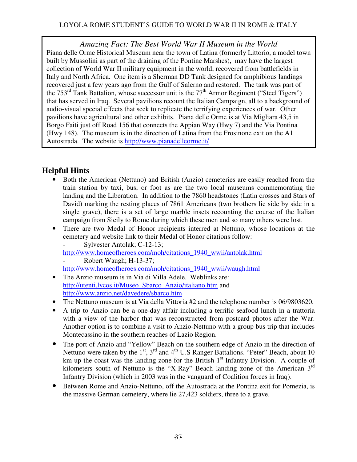*Amazing Fact: The Best World War II Museum in the World*  Piana delle Orme Historical Museum near the town of Latina (formerly Littorio, a model town built by Mussolini as part of the draining of the Pontine Marshes), may have the largest collection of World War II military equipment in the world, recovered from battlefields in Italy and North Africa. One item is a Sherman DD Tank designed for amphibious landings recovered just a few years ago from the Gulf of Salerno and restored. The tank was part of the  $753<sup>rd</sup>$  Tank Battalion, whose successor unit is the  $77<sup>th</sup>$  Armor Regiment ("Steel Tigers") that has served in Iraq. Several pavilions recount the Italian Campaign, all to a background of audio-visual special effects that seek to replicate the terrifying experiences of war. Other pavilions have agricultural and other exhibits. Piana delle Orme is at Via Migliara 43,5 in Borgo Faiti just off Road 156 that connects the Appian Way (Hwy 7) and the Via Pontina (Hwy 148). The museum is in the direction of Latina from the Frosinone exit on the A1 Autostrada. The website is http://www.pianadelleorme.it/

# **Helpful Hints**

- Both the American (Nettuno) and British (Anzio) cemeteries are easily reached from the train station by taxi, bus, or foot as are the two local museums commemorating the landing and the Liberation. In addition to the 7860 headstones (Latin crosses and Stars of David) marking the resting places of 7861 Americans (two brothers lie side by side in a single grave), there is a set of large marble insets recounting the course of the Italian campaign from Sicily to Rome during which these men and so many others were lost.
- There are two Medal of Honor recipients interred at Nettuno, whose locations at the cemetery and website link to their Medal of Honor citations follow:
	- Sylvester Antolak; C-12-13;

http://www.homeofheroes.com/moh/citations\_1940\_wwii/antolak.html Robert Waugh; H-13-37;

http://www.homeofheroes.com/moh/citations\_1940\_wwii/waugh.html

- The Anzio museum is in Via di Villa Adele. Weblinks are: http://utenti.lycos.it/Museo\_Sbarco\_Anzio/italiano.htm and http://www.anzio.net/davedere/sbarco.htm
- The Nettuno museum is at Via della Vittoria #2 and the telephone number is 06/9803620.
- A trip to Anzio can be a one-day affair including a terrific seafood lunch in a trattoria with a view of the harbor that was reconstructed from postcard photos after the War. Another option is to combine a visit to Anzio-Nettuno with a group bus trip that includes Montecassino in the southern reaches of Lazio Region.
- The port of Anzio and "Yellow" Beach on the southern edge of Anzio in the direction of Nettuno were taken by the  $1<sup>st</sup>$ ,  $3<sup>rd</sup>$  and  $4<sup>th</sup>$  U.S Ranger Battalions. "Peter" Beach, about 10 km up the coast was the landing zone for the British  $1<sup>st</sup>$  Infantry Division. A couple of kilometers south of Nettuno is the "X-Ray" Beach landing zone of the American 3<sup>rd</sup> Infantry Division (which in 2003 was in the vanguard of Coalition forces in Iraq).
- Between Rome and Anzio-Nettuno, off the Autostrada at the Pontina exit for Pomezia, is the massive German cemetery, where lie 27,423 soldiers, three to a grave.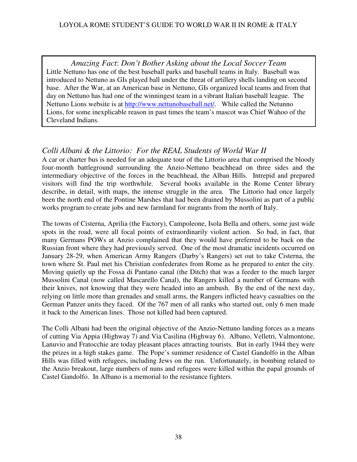*Amazing Fact*: *Don't Bother Asking about the Local Soccer Team*  Little Nettuno has one of the best baseball parks and baseball teams in Italy. Baseball was introduced to Nettuno as GIs played ball under the threat of artillery shells landing on second base. After the War, at an American base in Nettuno, GIs organized local teams and from that day on Nettuno has had one of the winningest team in a vibrant Italian baseball league. The Nettuno Lions website is at http://www.nettunobaseball.net/. While called the Netunno Lions, for some inexplicable reason in past times the team's mascot was Chief Wahoo of the Cleveland Indians.

# *Colli Albani & the Littorio: For the REAL Students of World War II*

A car or charter bus is needed for an adequate tour of the Littorio area that comprised the bloody four-month battleground surrounding the Anzio-Nettuno beachhead on three sides and the intermediary objective of the forces in the beachhead, the Alban Hills. Intrepid and prepared visitors will find the trip worthwhile. Several books available in the Rome Center library describe, in detail, with maps, the intense struggle in the area. The Littorio had once largely been the north end of the Pontine Marshes that had been drained by Mussolini as part of a public works program to create jobs and new farmland for migrants from the north of Italy.

The towns of Cisterna, Aprilia (the Factory), Campoleone, Isola Bella and others, some just wide spots in the road, were all focal points of extraordinarily violent action. So bad, in fact, that many Germans POWs at Anzio complained that they would have preferred to be back on the Russian front where they had previously served. One of the most dramatic incidents occurred on January 28-29, when American Army Rangers (Darby's Rangers) set out to take Cisterna, the town where St. Paul met his Christian confederates from Rome as he prepared to enter the city. Moving quietly up the Fossa di Pantano canal (the Ditch) that was a feeder to the much larger Mussolini Canal (now called Mascarello Canal), the Rangers killed a number of Germans with their knives, not knowing that they were headed into an ambush. By the end of the next day, relying on little more than grenades and small arms, the Rangers inflicted heavy casualties on the German Panzer units they faced. Of the 767 men of all ranks who started out, only 6 men made it back to the American lines. Those not killed had been captured.

The Colli Albani had been the original objective of the Anzio-Nettuno landing forces as a means of cutting Via Appia (Highway 7) and Via Casilina (Highway 6). Albano, Velletri, Valmontone, Lanuvio and Fratocchie are today pleasant places attracting tourists. But in early 1944 they were the prizes in a high stakes game. The Pope's summer residence of Castel Gandolfo in the Alban Hills was filled with refugees, including Jews on the run. Unfortunately, in bombing related to the Anzio breakout, large numbers of nuns and refugees were killed within the papal grounds of Castel Gandolfo. In Albano is a memorial to the resistance fighters.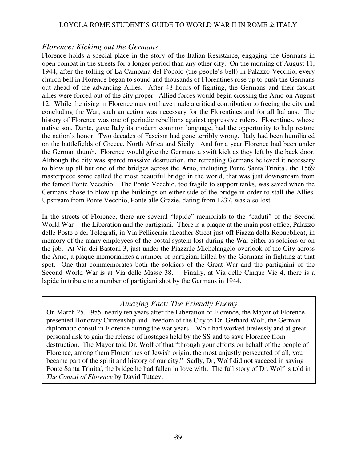### *Florence: Kicking out the Germans*

Florence holds a special place in the story of the Italian Resistance, engaging the Germans in open combat in the streets for a longer period than any other city. On the morning of August 11, 1944, after the tolling of La Campana del Popolo (the people's bell) in Palazzo Vecchio, every church bell in Florence began to sound and thousands of Florentines rose up to push the Germans out ahead of the advancing Allies. After 48 hours of fighting, the Germans and their fascist allies were forced out of the city proper. Allied forces would begin crossing the Arno on August 12. While the rising in Florence may not have made a critical contribution to freeing the city and concluding the War, such an action was necessary for the Florentines and for all Italians. The history of Florence was one of periodic rebellions against oppressive rulers. Florentines, whose native son, Dante, gave Italy its modern common language, had the opportunity to help restore the nation's honor. Two decades of Fascism had gone terribly wrong. Italy had been humiliated on the battlefields of Greece, North Africa and Sicily. And for a year Florence had been under the German thumb. Florence would give the Germans a swift kick as they left by the back door. Although the city was spared massive destruction, the retreating Germans believed it necessary to blow up all but one of the bridges across the Arno, including Ponte Santa Trinita', the 1569 masterpiece some called the most beautiful bridge in the world, that was just downstream from the famed Ponte Vecchio. The Ponte Vecchio, too fragile to support tanks, was saved when the Germans chose to blow up the buildings on either side of the bridge in order to stall the Allies. Upstream from Ponte Vecchio, Ponte alle Grazie, dating from 1237, was also lost.

In the streets of Florence, there are several "lapide" memorials to the "caduti" of the Second World War -- the Liberation and the partigiani. There is a plaque at the main post office, Palazzo delle Poste e dei Telegrafi, in Via Pellicerria (Leather Street just off Piazza della Repubblica), in memory of the many employees of the postal system lost during the War either as soldiers or on the job. At Via dei Bastoni 3, just under the Piazzale Michelangelo overlook of the City across the Arno, a plaque memorializes a number of partigiani killed by the Germans in fighting at that spot. One that commemorates both the soldiers of the Great War and the partigiaini of the Second World War is at Via delle Masse 38. Finally, at Via delle Cinque Vie 4, there is a lapide in tribute to a number of partigiani shot by the Germans in 1944.

### *Amazing Fact: The Friendly Enemy*

On March 25, 1955, nearly ten years after the Liberation of Florence, the Mayor of Florence presented Honorary Citizenship and Freedom of the City to Dr. Gerhard Wolf, the German diplomatic consul in Florence during the war years. Wolf had worked tirelessly and at great personal risk to gain the release of hostages held by the SS and to save Florence from destruction. The Mayor told Dr. Wolf of that "through your efforts on behalf of the people of Florence, among them Florentines of Jewish origin, the most unjustly persecuted of all, you became part of the spirit and history of our city." Sadly, Dr, Wolf did not succeed in saving Ponte Santa Trinita', the bridge he had fallen in love with. The full story of Dr. Wolf is told in *The Consul of Florence* by David Tutaev.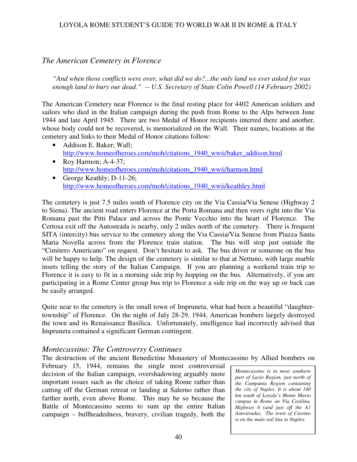# *The American Cemetery in Florence*

*"And when those conflicts were over, what did we do?...the only land we ever asked for was enough land to bury our dead." -- U.S. Secretary of State Colin Powell (14 February 2002)* 

The American Cemetery near Florence is the final resting place for 4402 American soldiers and sailors who died in the Italian campaign during the push from Rome to the Alps between June 1944 and late April 1945. There are two Medal of Honor recipients interred there and another, whose body could not be recovered, is memorialized on the Wall. Their names, locations at the cemetery and links to their Medal of Honor citations follow:

- Addison E. Baker; Wall; http://www.homeofheroes.com/moh/citations\_1940\_wwii/baker\_addison.html
- Roy Harmon; A-4-37; http://www.homeofheroes.com/moh/citations\_1940\_wwii/harmon.html
- George Keathly; D-11-26; http://www.homeofheroes.com/moh/citations\_1940\_wwii/keathley.html

The cemetery is just 7.5 miles south of Florence city on the Via Cassia/Via Senese (Highway 2 to Siena). The ancient road enters Florence at the Porta Romana and then veers right into the Via Romana past the Pitti Palace and across the Ponte Vecchio into the heart of Florence. The Certosa exit off the Autostrada is nearby, only 2 miles north of the cemetery. There is frequent SITA (intercity) bus service to the cemetery along the Via Cassia/Via Senese from Piazza Santa Maria Novella across from the Florence train station. The bus will stop just outside the "Cimitero Americano" on request. Don't hesitate to ask. The bus driver or someone on the bus will be happy to help. The design of the cemetery is similar to that at Nettuno, with large marble insets telling the story of the Italian Campaign. If you are planning a weekend train trip to Florence it is easy to fit in a morning side trip by hopping on the bus. Alternatively, if you are participating in a Rome Center group bus trip to Florence a side trip on the way up or back can be easily arranged.

Quite near to the cemetery is the small town of Impruneta, what had been a beautiful "daughtertownship" of Florence. On the night of July 28-29, 1944, American bombers largely destroyed the town and its Renaissance Basilica. Unfortunately, intelligence had incorrectly advised that Impruneta contained a significant German contingent.

### *Montecassino: The Controversy Continues*

The destruction of the ancient Benedictine Monastery of Montecassino by Allied bombers on

February 15, 1944, remains the single most controversial decision of the Italian campaign, overshadowing arguably more important issues such as the choice of taking Rome rather than cutting off the German retreat or landing at Salerno rather than farther north, even above Rome. This may be so because the Battle of Montecassino seems to sum up the entire Italian campaign – bullheadedness, bravery, civilian tragedy, both the

*Montecassino is in most southern part of Lazio Region, just north of the Campania Region containing the city of Naples. It is about 140 km south of Loyola's Monte Mario campus in Rome on Via Casilina, Highway 6 (and just off the A1 Autostrada). The town of Cassino is on the main rail line to Naples.*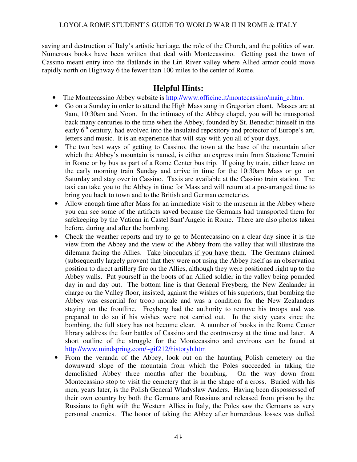saving and destruction of Italy's artistic heritage, the role of the Church, and the politics of war. Numerous books have been written that deal with Montecassino. Getting past the town of Cassino meant entry into the flatlands in the Liri River valley where Allied armor could move rapidly north on Highway 6 the fewer than 100 miles to the center of Rome.

### **Helpful Hints:**

- The Montecassino Abbey website is http://www.officine.it/montecassino/main\_e.htm.
- Go on a Sunday in order to attend the High Mass sung in Gregorian chant. Masses are at 9am, 10:30am and Noon. In the intimacy of the Abbey chapel, you will be transported back many centuries to the time when the Abbey, founded by St. Benedict himself in the early  $6<sup>th</sup>$  century, had evolved into the insulated repository and protector of Europe's art, letters and music. It is an experience that will stay with you all of your days.
- The two best ways of getting to Cassino, the town at the base of the mountain after which the Abbey's mountain is named, is either an express train from Stazione Termini in Rome or by bus as part of a Rome Center bus trip. If going by train, either leave on the early morning train Sunday and arrive in time for the 10:30am Mass or go on Saturday and stay over in Cassino. Taxis are available at the Cassino train station. The taxi can take you to the Abbey in time for Mass and will return at a pre-arranged time to bring you back to town and to the British and German cemeteries.
- Allow enough time after Mass for an immediate visit to the museum in the Abbey where you can see some of the artifacts saved because the Germans had transported them for safekeeping by the Vatican in Castel Sant'Angelo in Rome. There are also photos taken before, during and after the bombing.
- Check the weather reports and try to go to Montecassino on a clear day since it is the view from the Abbey and the view of the Abbey from the valley that will illustrate the dilemma facing the Allies. Take binoculars if you have them. The Germans claimed (subsequently largely proven) that they were not using the Abbey itself as an observation position to direct artillery fire on the Allies, although they were positioned right up to the Abbey walls. Put yourself in the boots of an Allied soldier in the valley being pounded day in and day out. The bottom line is that General Freyberg, the New Zealander in charge on the Valley floor, insisted, against the wishes of his superiors, that bombing the Abbey was essential for troop morale and was a condition for the New Zealanders staying on the frontline. Freyberg had the authority to remove his troops and was prepared to do so if his wishes were not carried out. In the sixty years since the bombing, the full story has not become clear. A number of books in the Rome Center library address the four battles of Cassino and the controversy at the time and later. A short outline of the struggle for the Montecassino and environs can be found at http://www.mindspring.com/~gif212/historyb.htm
- From the veranda of the Abbey, look out on the haunting Polish cemetery on the downward slope of the mountain from which the Poles succeeded in taking the demolished Abbey three months after the bombing. On the way down from Montecassino stop to visit the cemetery that is in the shape of a cross. Buried with his men, years later, is the Polish General Wladyslaw Anders. Having been dispossessed of their own country by both the Germans and Russians and released from prison by the Russians to fight with the Western Allies in Italy, the Poles saw the Germans as very personal enemies. The honor of taking the Abbey after horrendous losses was dulled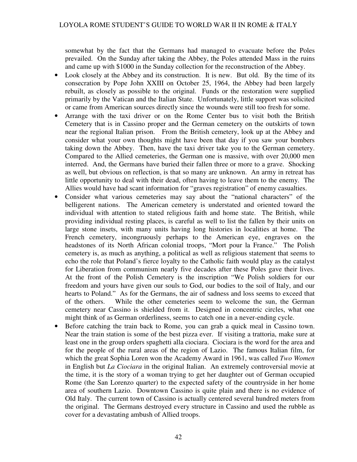somewhat by the fact that the Germans had managed to evacuate before the Poles prevailed. On the Sunday after taking the Abbey, the Poles attended Mass in the ruins and came up with \$1000 in the Sunday collection for the reconstruction of the Abbey.

- Look closely at the Abbey and its construction. It is new. But old. By the time of its consecration by Pope John XXIII on October 25, 1964, the Abbey had been largely rebuilt, as closely as possible to the original. Funds or the restoration were supplied primarily by the Vatican and the Italian State. Unfortunately, little support was solicited or came from American sources directly since the wounds were still too fresh for some.
- Arrange with the taxi driver or on the Rome Center bus to visit both the British Cemetery that is in Cassino proper and the German cemetery on the outskirts of town near the regional Italian prison. From the British cemetery, look up at the Abbey and consider what your own thoughts might have been that day if you saw your bombers taking down the Abbey. Then, have the taxi driver take you to the German cemetery. Compared to the Allied cemeteries, the German one is massive, with over 20,000 men interred. And, the Germans have buried their fallen three or more to a grave. Shocking as well, but obvious on reflection, is that so many are unknown. An army in retreat has little opportunity to deal with their dead, often having to leave them to the enemy. The Allies would have had scant information for "graves registration" of enemy casualties.
- Consider what various cemeteries may say about the "national characters" of the belligerent nations. The American cemetery is understated and oriented toward the individual with attention to stated religious faith and home state. The British, while providing individual resting places, is careful as well to list the fallen by their units on large stone insets, with many units having long histories in localities at home. The French cemetery, incongruously perhaps to the American eye, engraves on the headstones of its North African colonial troops, "Mort pour la France." The Polish cemetery is, as much as anything, a political as well as religious statement that seems to echo the role that Poland's fierce loyalty to the Catholic faith would play as the catalyst for Liberation from communism nearly five decades after these Poles gave their lives. At the front of the Polish Cemetery is the inscription "We Polish soldiers for our freedom and yours have given our souls to God, our bodies to the soil of Italy, and our hearts to Poland." As for the Germans, the air of sadness and loss seems to exceed that of the others. While the other cemeteries seem to welcome the sun, the German cemetery near Cassino is shielded from it. Designed in concentric circles, what one might think of as German orderliness, seems to catch one in a never-ending cycle.
- Before catching the train back to Rome, you can grab a quick meal in Cassino town. Near the train station is some of the best pizza ever. If visiting a trattoria, make sure at least one in the group orders spaghetti alla ciociara. Ciociara is the word for the area and for the people of the rural areas of the region of Lazio. The famous Italian film, for which the great Sophia Loren won the Academy Award in 1961, was called *Two Women*  in English but *La Ciociara* in the original Italian. An extremely controversial movie at the time, it is the story of a woman trying to get her daughter out of German occupied Rome (the San Lorenzo quarter) to the expected safety of the countryside in her home area of southern Lazio. Downtown Cassino is quite plain and there is no evidence of Old Italy. The current town of Cassino is actually centered several hundred meters from the original. The Germans destroyed every structure in Cassino and used the rubble as cover for a devastating ambush of Allied troops.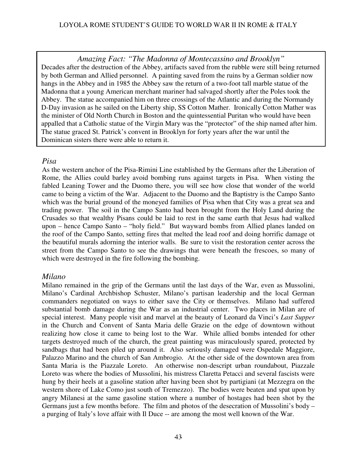*Amazing Fact: "The Madonna of Montecassino and Brooklyn"* Decades after the destruction of the Abbey, artifacts saved from the rubble were still being returned by both German and Allied personnel. A painting saved from the ruins by a German soldier now hangs in the Abbey and in 1985 the Abbey saw the return of a two-foot tall marble statue of the Madonna that a young American merchant mariner had salvaged shortly after the Poles took the Abbey. The statue accompanied him on three crossings of the Atlantic and during the Normandy D-Day invasion as he sailed on the Liberty ship, SS Cotton Mather. Ironically Cotton Mather was the minister of Old North Church in Boston and the quintessential Puritan who would have been appalled that a Catholic statue of the Virgin Mary was the "protector" of the ship named after him. The statue graced St. Patrick's convent in Brooklyn for forty years after the war until the Dominican sisters there were able to return it.

### *Pisa*

As the western anchor of the Pisa-Rimini Line established by the Germans after the Liberation of Rome, the Allies could barley avoid bombing runs against targets in Pisa. When visting the fabled Leaning Tower and the Duomo there, you will see how close that wonder of the world came to being a victim of the War. Adjacent to the Duomo and the Baptistry is the Campo Santo which was the burial ground of the moneyed families of Pisa when that City was a great sea and trading power. The soil in the Campo Santo had been brought from the Holy Land during the Crusades so that wealthy Pisans could be laid to rest in the same earth that Jesus had walked upon – hence Campo Santo – "holy field." But wayward bombs from Allied planes landed on the roof of the Campo Santo, setting fires that melted the lead roof and doing horrific damage ot the beautiful murals adorning the interior walls. Be sure to visit the restoration center across the street from the Campo Santo to see the drawings that were beneath the frescoes, so many of which were destroyed in the fire following the bombing.

### *Milano*

Milano remained in the grip of the Germans until the last days of the War, even as Mussolini, Milano's Cardinal Archbishop Schuster, Milano's partisan leadership and the local German commanders negotiated on ways to either save the City or themselves. Milano had suffered substantial bomb damage during the War as an industrial center. Two places in Milan are of special interest. Many people visit and marvel at the beauty of Leonard da Vinci's *Last Supper* in the Church and Convent of Santa Maria delle Grazie on the edge of downtown without realizing how close it came to being lost to the War. While allied bombs intended for other targets destroyed much of the church, the great painting was miraculously spared, protected by sandbags that had been piled up around it. Also seriously damaged were Ospedale Maggiore, Palazzo Marino and the church of San Ambrogio. At the other side of the downtown area from Santa Maria is the Piazzale Loreto. An otherwise non-descript urban roundabout, Piazzale Loreto was where the bodies of Mussolini, his mistress Claretta Petacci and several fascists were hung by their heels at a gasoline station after having been shot by partigiani (at Mezzegra on the western shore of Lake Como just south of Tremezzo). The bodies were beaten and spat upon by angry Milanesi at the same gasoline station where a number of hostages had been shot by the Germans just a few months before. The film and photos of the desecration of Mussolini's body – a purging of Italy's love affair with Il Duce -- are among the most well known of the War.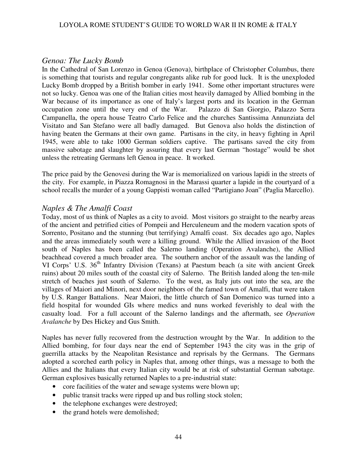### *Genoa: The Lucky Bomb*

In the Cathedral of San Lorenzo in Genoa (Genova), birthplace of Christopher Columbus, there is something that tourists and regular congregants alike rub for good luck. It is the unexploded Lucky Bomb dropped by a British bomber in early 1941. Some other important structures were not so lucky. Genoa was one of the Italian cities most heavily damaged by Allied bombing in the War because of its importance as one of Italy's largest ports and its location in the German occupation zone until the very end of the War. Palazzo di San Giorgio, Palazzo Serra Campanella, the opera house Teatro Carlo Felice and the churches Santissima Annunziata del Visitato and San Stefano were all badly damaged. But Genova also holds the distinction of having beaten the Germans at their own game. Partisans in the city, in heavy fighting in April 1945, were able to take 1000 German soldiers captive. The partisans saved the city from massive sabotage and slaughter by assuring that every last German "hostage" would be shot unless the retreating Germans left Genoa in peace. It worked.

The price paid by the Genovesi during the War is memorialized on various lapidi in the streets of the city. For example, in Piazza Romagnosi in the Marassi quarter a lapide in the courtyard of a school recalls the murder of a young Gappisti woman called "Partigiano Joan" (Paglia Marcello).

### *Naples & The Amalfi Coast*

Today, most of us think of Naples as a city to avoid. Most visitors go straight to the nearby areas of the ancient and petrified cities of Pompeii and Herculeneum and the modern vacation spots of Sorrento, Positano and the stunning (but terrifying) Amalfi coast. Six decades ago ago, Naples and the areas immediately south were a killing ground. While the Allied invasion of the Boot south of Naples has been called the Salerno landing (Operation Avalanche), the Allied beachhead covered a much broader area. The southern anchor of the assault was the landing of VI Corps' U.S. 36<sup>th</sup> Infantry Division (Texans) at Paestum beach (a site with ancient Greek ruins) about 20 miles south of the coastal city of Salerno. The British landed along the ten-mile stretch of beaches just south of Salerno. To the west, as Italy juts out into the sea, are the villages of Maiori and Minori, next door neighbors of the famed town of Amalfi, that were taken by U.S. Ranger Battalions. Near Maiori, the little church of San Domenico was turned into a field hospital for wounded GIs where medics and nuns worked feverishly to deal with the casualty load. For a full account of the Salerno landings and the aftermath, see *Operation Avalanche* by Des Hickey and Gus Smith.

Naples has never fully recovered from the destruction wrought by the War. In addition to the Allied bombing, for four days near the end of September 1943 the city was in the grip of guerrilla attacks by the Neapolitan Resistance and reprisals by the Germans. The Germans adopted a scorched earth policy in Naples that, among other things, was a message to both the Allies and the Italians that every Italian city would be at risk of substantial German sabotage. German explosives basically returned Naples to a pre-industrial state:

- core facilities of the water and sewage systems were blown up;
- public transit tracks were ripped up and bus rolling stock stolen;
- the telephone exchanges were destroyed;
- the grand hotels were demolished;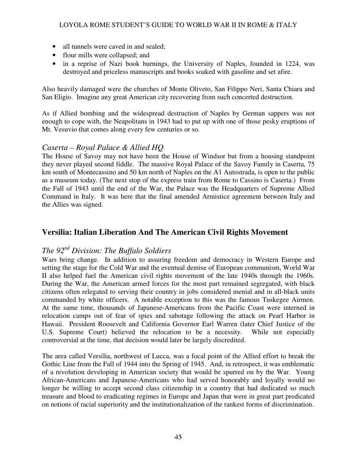- all tunnels were caved in and sealed;
- flour mills were collapsed; and
- in a reprise of Nazi book burnings, the University of Naples, founded in 1224, was destroyed and priceless manuscripts and books soaked with gasoline and set afire.

Also heavily damaged were the churches of Monte Oliveto, San Filippo Neri, Santa Chiara and San Eligio. Imagine any great American city recovering from such concerted destruction.

As if Allied bombing and the widespread destruction of Naples by German sappers was not enough to cope with, the Neapolitans in 1943 had to put up with one of those pesky eruptions of Mt. Vesuvio that comes along every few centuries or so.

### *Caserta – Royal Palace & Allied HQ*

The House of Savoy may not have been the House of Windsor but from a housing standpoint they never played second fiddle. The massive Royal Palace of the Savoy Family in Caserta, 75 km south of Montecassino and 50 km north of Naples on the A1 Autostrada, is open to the public as a museum today. (The next stop of the express train from Rome to Cassino is Caserta.) From the Fall of 1943 until the end of the War, the Palace was the Headquarters of Supreme Allied Command in Italy. It was here that the final amended Armistice agreement between Italy and the Allies was signed.

# **Versilia: Italian Liberation And The American Civil Rights Movement**

# *The 92nd Division: The Buffalo Soldiers*

Wars bring change. In addition to assuring freedom and democracy in Western Europe and setting the stage for the Cold War and the eventual demise of European communism, World War II also helped fuel the American civil rights movement of the late 1940s through the 1960s. During the War, the American armed forces for the most part remained segregated, with black citizens often relegated to serving their country in jobs considered menial and in all-black units commanded by white officers. A notable exception to this was the famous Tuskegee Airmen. At the same time, thousands of Japanese-Americans from the Pacific Coast were interned in relocation camps out of fear of spies and sabotage following the attack on Pearl Harbor in Hawaii. President Roosevelt and California Governor Earl Warren (later Chief Justice of the U.S. Supreme Court) believed the relocation to be a necessity. While not especially controversial at the time, that decision would later be largely discredited.

The area called Versilia, northwest of Lucca, was a focal point of the Allied effort to break the Gothic Line from the Fall of 1944 into the Spring of 1945. And, in retrospect, it was emblematic of a revolution developing in American society that would be spurred on by the War. Young African-Americans and Japanese-Americans who had served honorably and loyally would no longer be willing to accept second class citizenship in a country that had dedicated so much treasure and blood to eradicating regimes in Europe and Japan that were in great part predicated on notions of racial superiority and the institutionalization of the rankest forms of discrimination.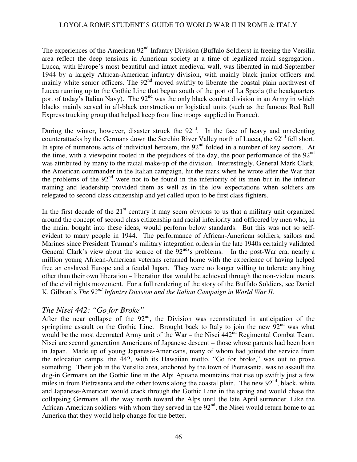The experiences of the American 92<sup>nd</sup> Infantry Division (Buffalo Soldiers) in freeing the Versilia area reflect the deep tensions in American society at a time of legalized racial segregation.. Lucca, with Europe's most beautiful and intact medieval wall, was liberated in mid-September 1944 by a largely African-American infantry division, with mainly black junior officers and mainly white senior officers. The 92<sup>nd</sup> moved swiftly to liberate the coastal plain northwest of Lucca running up to the Gothic Line that began south of the port of La Spezia (the headquarters port of today's Italian Navy). The 92<sup>nd</sup> was the only black combat division in an Army in which blacks mainly served in all-black construction or logistical units (such as the famous Red Ball Express trucking group that helped keep front line troops supplied in France).

During the winter, however, disaster struck the  $92<sup>nd</sup>$ . In the face of heavy and unrelenting counterattacks by the Germans down the Serchio River Valley north of Lucca, the 92<sup>nd</sup> fell short. In spite of numerous acts of individual heroism, the  $92<sup>nd</sup>$  folded in a number of key sectors. At the time, with a viewpoint rooted in the prejudices of the day, the poor performance of the  $92<sup>nd</sup>$ was attributed by many to the racial make-up of the division. Interestingly, General Mark Clark, the American commander in the Italian campaign, hit the mark when he wrote after the War that the problems of the 92<sup>nd</sup> were not to be found in the inferiority of its men but in the inferior training and leadership provided them as well as in the low expectations when soldiers are relegated to second class citizenship and yet called upon to be first class fighters.

In the first decade of the  $21<sup>st</sup>$  century it may seem obvious to us that a military unit organized around the concept of second class citizenship and racial inferiority and officered by men who, in the main, bought into these ideas, would perform below standards. But this was not so selfevident to many people in 1944. The performance of African-American soldiers, sailors and Marines since President Truman's military integration orders in the late 1940s certainly validated General Clark's view about the source of the  $92<sup>nd</sup>$ 's problems. In the post-War era, nearly a million young African-American veterans returned home with the experience of having helped free an enslaved Europe and a feudal Japan. They were no longer willing to tolerate anything other than their own liberation – liberation that would be achieved through the non-violent means of the civil rights movement. For a full rendering of the story of the Buffalo Soldiers, see Daniel K. Gilbran's *The 92nd Infantry Division and the Italian Campaign in World War II*.

### *The Nisei 442: "Go for Broke"*

After the near collapse of the  $92<sup>nd</sup>$ , the Division was reconstituted in anticipation of the springtime assault on the Gothic Line. Brought back to Italy to join the new  $92<sup>nd</sup>$  was what would be the most decorated Army unit of the War – the Nisei  $442<sup>nd</sup>$  Regimental Combat Team. Nisei are second generation Americans of Japanese descent – those whose parents had been born in Japan. Made up of young Japanese-Americans, many of whom had joined the service from the relocation camps, the 442, with its Hawaiian motto, "Go for broke," was out to prove something. Their job in the Versilia area, anchored by the town of Pietrasanta, was to assault the dug-in Germans on the Gothic line in the Alpi Apuane mountains that rise up swiftly just a few miles in from Pietrasanta and the other towns along the coastal plain. The new  $92<sup>nd</sup>$ , black, white and Japanese-American would crack through the Gothic Line in the spring and would chase the collapsing Germans all the way north toward the Alps until the late April surrender. Like the African-American soldiers with whom they served in the  $92<sup>nd</sup>$ , the Nisei would return home to an America that they would help change for the better.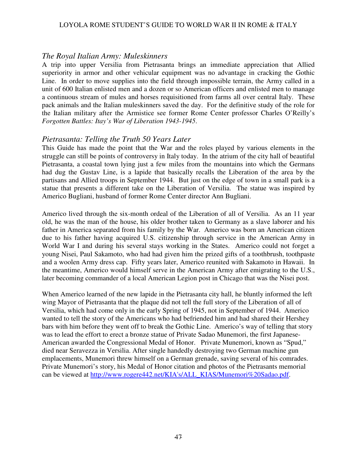### *The Royal Italian Army: Muleskinners*

A trip into upper Versilia from Pietrasanta brings an immediate appreciation that Allied superiority in armor and other vehicular equipment was no advantage in cracking the Gothic Line. In order to move supplies into the field through impossible terrain, the Army called in a unit of 600 Italian enlisted men and a dozen or so American officers and enlisted men to manage a continuous stream of mules and horses requisitioned from farms all over central Italy. These pack animals and the Italian muleskinners saved the day. For the definitive study of the role for the Italian military after the Armistice see former Rome Center professor Charles O'Reilly's *Forgotten Battles: Itay's War of Liberation 1943-1945*.

### *Pietrasanta: Telling the Truth 50 Years Later*

This Guide has made the point that the War and the roles played by various elements in the struggle can still be points of controversy in Italy today. In the atrium of the city hall of beautiful Pietrasanta, a coastal town lying just a few miles from the mountains into which the Germans had dug the Gustav Line, is a lapide that basically recalls the Liberation of the area by the partisans and Allied troops in September 1944. But just on the edge of town in a small park is a statue that presents a different take on the Liberation of Versilia. The statue was inspired by Americo Bugliani, husband of former Rome Center director Ann Bugliani.

Americo lived through the six-month ordeal of the Liberation of all of Versilia. As an 11 year old, he was the man of the house, his older brother taken to Germany as a slave laborer and his father in America separated from his family by the War. Americo was born an American citizen due to his father having acquired U.S. citizenship through service in the American Army in World War I and during his several stays working in the States. Americo could not forget a young Nisei, Paul Sakamoto, who had had given him the prized gifts of a toothbrush, toothpaste and a woolen Army dress cap. Fifty years later, Americo reunited with Sakamoto in Hawaii. In the meantime, Americo would himself serve in the American Army after emigrating to the U.S., later becoming commander of a local American Legion post in Chicago that was the Nisei post.

When Americo learned of the new lapide in the Pietrasanta city hall, he bluntly informed the left wing Mayor of Pietrasanta that the plaque did not tell the full story of the Liberation of all of Versilia, which had come only in the early Spring of 1945, not in September of 1944. Americo wanted to tell the story of the Americans who had befriended him and had shared their Hershey bars with him before they went off to break the Gothic Line. Americo's way of telling that story was to lead the effort to erect a bronze statue of Private Sadao Munemori, the first Japanese-American awarded the Congressional Medal of Honor. Private Munemori, known as "Spud," died near Seravezza in Versilia. After single handedly destroying two German machine gun emplacements, Munemori threw himself on a German grenade, saving several of his comrades. Private Munemori's story, his Medal of Honor citation and photos of the Pietrasants memorial can be viewed at http://www.rogere442.net/KIA's/ALL\_KIAS/Munemori%20Sadao.pdf.